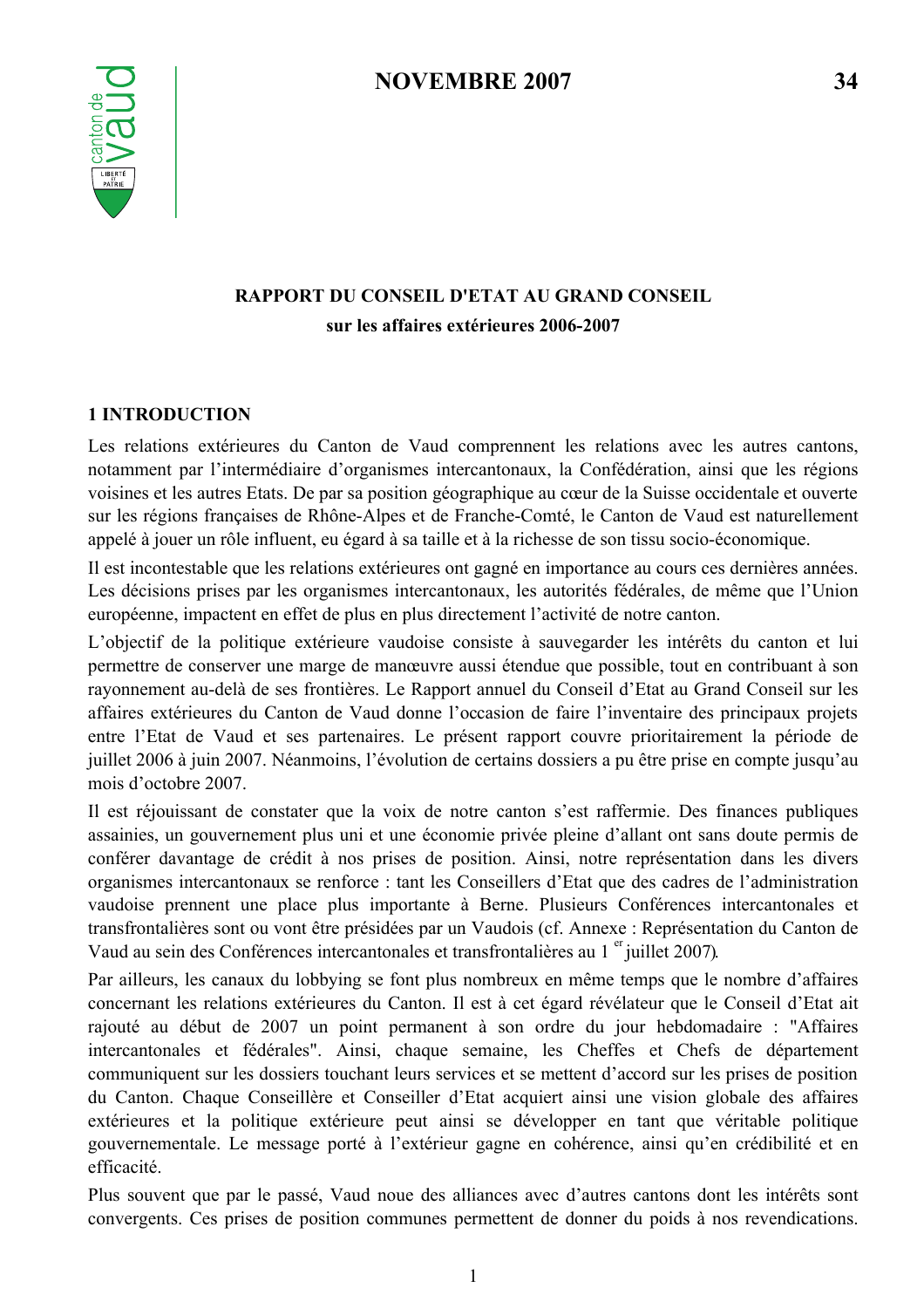

# RAPPORT DU CONSEIL D'ETAT AU GRAND CONSEIL sur les affaires extérieures 2006-2007

## **1 INTRODUCTION**

Les relations extérieures du Canton de Vaud comprennent les relations avec les autres cantons, notamment par l'intermédiaire d'organismes intercantonaux, la Confédération, ainsi que les régions voisines et les autres Etats. De par sa position géographique au cœur de la Suisse occidentale et ouverte sur les régions françaises de Rhône-Alpes et de Franche-Comté, le Canton de Vaud est naturellement appelé à jouer un rôle influent, eu égard à sa taille et à la richesse de son tissu socio-économique.

Il est incontestable que les relations extérieures ont gagné en importance au cours ces dernières années. Les décisions prises par les organismes intercantonaux, les autorités fédérales, de même que l'Union européenne, impactent en effet de plus en plus directement l'activité de notre canton.

L'objectif de la politique extérieure vaudoise consiste à sauvegarder les intérêts du canton et lui permettre de conserver une marge de manœuvre aussi étendue que possible, tout en contribuant à son rayonnement au-delà de ses frontières. Le Rapport annuel du Conseil d'Etat au Grand Conseil sur les affaires extérieures du Canton de Vaud donne l'occasion de faire l'inventaire des principaux projets entre l'Etat de Vaud et ses partenaires. Le présent rapport couvre prioritairement la période de juillet 2006 à juin 2007. Néanmoins, l'évolution de certains dossiers a pu être prise en compte jusqu'au mois d'octobre 2007.

Il est réjouissant de constater que la voix de notre canton s'est raffermie. Des finances publiques assainies, un gouvernement plus uni et une économie privée pleine d'allant ont sans doute permis de conférer davantage de crédit à nos prises de position. Ainsi, notre représentation dans les divers organismes intercantonaux se renforce : tant les Conseillers d'Etat que des cadres de l'administration vaudoise prennent une place plus importante à Berne. Plusieurs Conférences intercantonales et transfrontalières sont ou vont être présidées par un Vaudois (cf. Annexe : Représentation du Canton de Vaud au sein des Conférences intercantonales et transfrontalières au 1<sup>er</sup> juillet 2007).

Par ailleurs, les canaux du lobbying se font plus nombreux en même temps que le nombre d'affaires concernant les relations extérieures du Canton. Il est à cet égard révélateur que le Conseil d'Etat ait rajouté au début de 2007 un point permanent à son ordre du jour hebdomadaire : "Affaires intercantonales et fédérales". Ainsi, chaque semaine, les Cheffes et Chefs de département communiquent sur les dossiers touchant leurs services et se mettent d'accord sur les prises de position du Canton. Chaque Conseillère et Conseiller d'Etat acquiert ainsi une vision globale des affaires extérieures et la politique extérieure peut ainsi se développer en tant que véritable politique gouvernementale. Le message porté à l'extérieur gagne en cohérence, ainsi qu'en crédibilité et en efficacité

Plus souvent que par le passé, Vaud noue des alliances avec d'autres cantons dont les intérêts sont convergents. Ces prises de position communes permettent de donner du poids à nos revendications.

34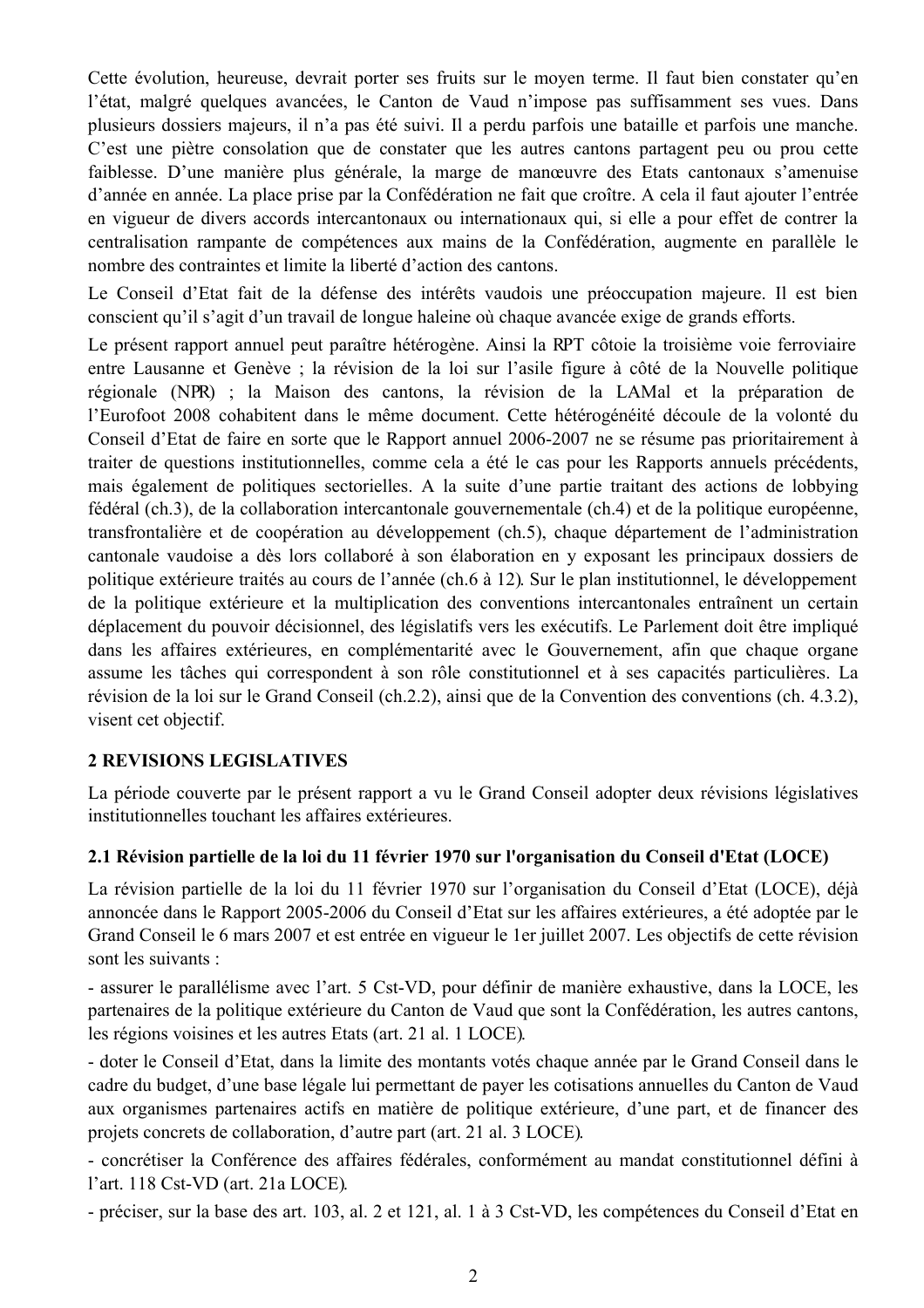Cette évolution, heureuse, devrait porter ses fruits sur le moven terme. Il faut bien constater qu'en l'état, malgré quelques avancées, le Canton de Vaud n'impose pas suffisamment ses vues. Dans plusieurs dossiers majeurs, il n'a pas été suivi. Il a perdu parfois une bataille et parfois une manche. C'est une piètre consolation que de constater que les autres cantons partagent peu ou prou cette faiblesse. D'une manière plus générale, la marge de manœuvre des Etats cantonaux s'amenuise d'année en année. La place prise par la Confédération ne fait que croître. A cela il faut ajouter l'entrée en vigueur de divers accords intercantonaux ou internationaux qui, si elle a pour effet de contrer la centralisation rampante de compétences aux mains de la Confédération, augmente en parallèle le nombre des contraintes et limite la liberté d'action des cantons.

Le Conseil d'Etat fait de la défense des intérêts vaudois une préoccupation majeure. Il est bien conscient qu'il s'agit d'un travail de longue haleine où chaque avancée exige de grands efforts.

Le présent rapport annuel peut paraître hétérogène. Ainsi la RPT côtoie la troisième voie ferroviaire entre Lausanne et Genève ; la révision de la loi sur l'asile figure à côté de la Nouvelle politique régionale (NPR) ; la Maison des cantons, la révision de la LAMal et la préparation de l'Eurofoot 2008 cohabitent dans le même document. Cette hétérogénéité découle de la volonté du Conseil d'Etat de faire en sorte que le Rapport annuel 2006-2007 ne se résume pas prioritairement à traiter de questions institutionnelles, comme cela a été le cas pour les Rapports annuels précédents, mais également de politiques sectorielles. A la suite d'une partie traitant des actions de lobbying fédéral (ch.3), de la collaboration intercantonale gouvernementale (ch.4) et de la politique européenne, transfrontalière et de coopération au développement (ch.5), chaque département de l'administration cantonale vaudoise a dès lors collaboré à son élaboration en y exposant les principaux dossiers de politique extérieure traités au cours de l'année (ch.6 à 12). Sur le plan institutionnel, le développement de la politique extérieure et la multiplication des conventions intercantonales entraînent un certain déplacement du pouvoir décisionnel, des législatifs vers les exécutifs. Le Parlement doit être impliqué dans les affaires extérieures, en complémentarité avec le Gouvernement, afin que chaque organe assume les tâches qui correspondent à son rôle constitutionnel et à ses capacités particulières. La révision de la loi sur le Grand Conseil (ch.2.2), ainsi que de la Convention des conventions (ch. 4.3.2), visent cet objectif.

## **2 REVISIONS LEGISLATIVES**

La période couverte par le présent rapport a vu le Grand Conseil adopter deux révisions législatives institutionnelles touchant les affaires extérieures.

## 2.1 Révision partielle de la loi du 11 février 1970 sur l'organisation du Conseil d'Etat (LOCE)

La révision partielle de la loi du 11 février 1970 sur l'organisation du Conseil d'Etat (LOCE), déjà annoncée dans le Rapport 2005-2006 du Conseil d'Etat sur les affaires extérieures, a été adoptée par le Grand Conseil le 6 mars 2007 et est entrée en vigueur le 1 er juillet 2007. Les objectifs de cette révision sont les suivants :

- assurer le parallélisme avec l'art. 5 Cst-VD, pour définir de manière exhaustive, dans la LOCE, les partenaires de la politique extérieure du Canton de Vaud que sont la Confédération, les autres cantons, les régions voisines et les autres Etats (art. 21 al. 1 LOCE).

- doter le Conseil d'Etat, dans la limite des montants votés chaque année par le Grand Conseil dans le cadre du budget, d'une base légale lui permettant de payer les cotisations annuelles du Canton de Vaud aux organismes partenaires actifs en matière de politique extérieure, d'une part, et de financer des projets concrets de collaboration, d'autre part (art. 21 al. 3 LOCE).

- concrétiser la Conférence des affaires fédérales, conformément au mandat constitutionnel défini à l'art. 118 Cst-VD (art. 21a LOCE).

- préciser, sur la base des art. 103, al. 2 et 121, al. 1 à 3 Cst-VD, les compétences du Conseil d'Etat en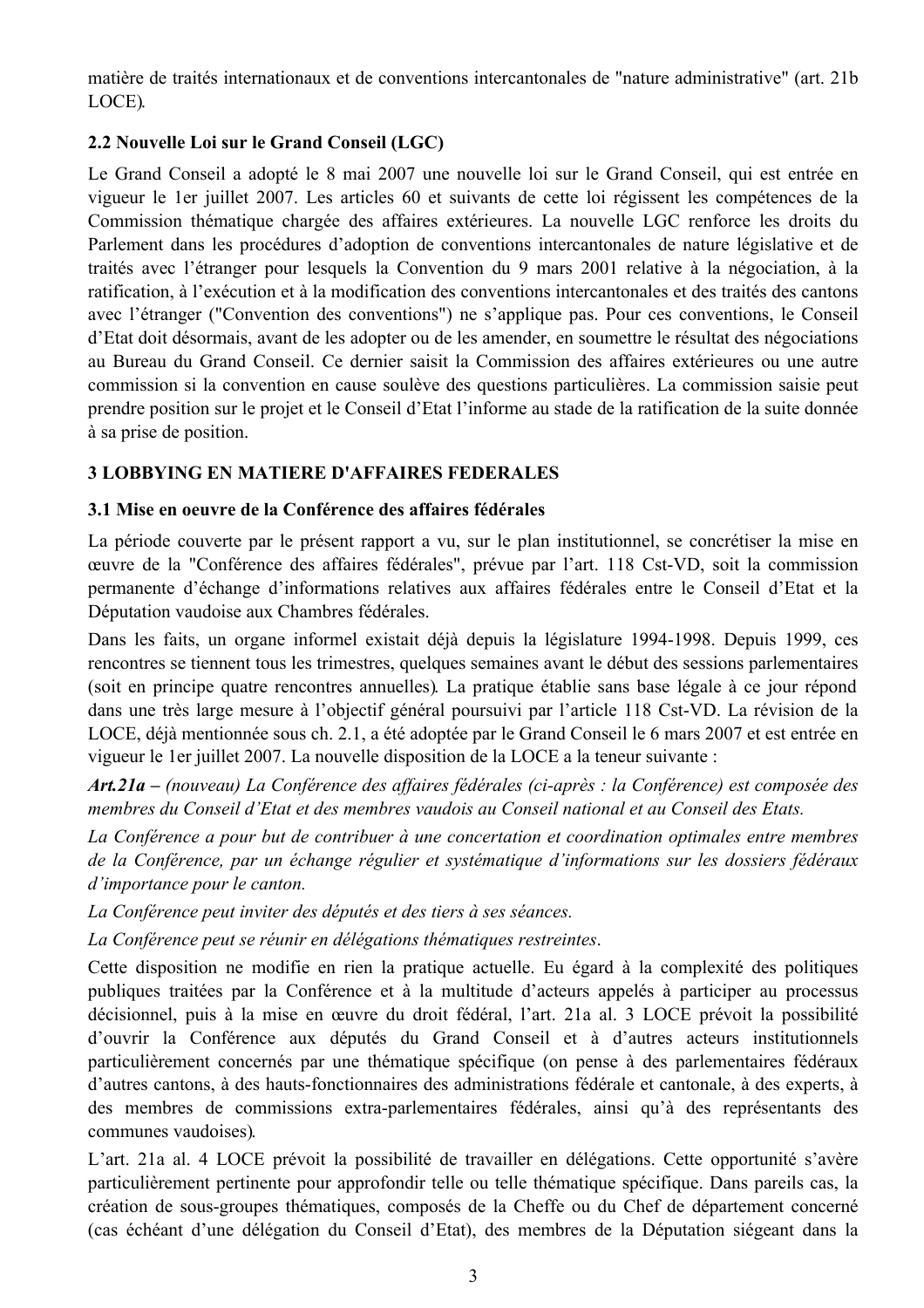matière de traités internationaux et de conventions intercantonales de "nature administrative" (art. 21b LOCE).

## 2.2 Nouvelle Loi sur le Grand Conseil (LGC)

Le Grand Conseil a adopté le 8 mai 2007 une nouvelle loi sur le Grand Conseil, qui est entrée en vigueur le 1 er juillet 2007. Les articles 60 et suivants de cette loi régissent les compétences de la Commission thématique chargée des affaires extérieures. La nouvelle LGC renforce les droits du Parlement dans les procédures d'adoption de conventions intercantonales de nature législative et de traités avec l'étranger pour lesquels la Convention du 9 mars 2001 relative à la négociation, à la ratification, à l'exécution et à la modification des conventions intercantonales et des traités des cantons avec l'étranger ("Convention des conventions") ne s'applique pas. Pour ces conventions, le Conseil d'Etat doit désormais, avant de les adopter ou de les amender, en soumettre le résultat des négociations au Bureau du Grand Conseil. Ce dernier saisit la Commission des affaires extérieures ou une autre commission si la convention en cause soulève des questions particulières. La commission saisie peut prendre position sur le projet et le Conseil d'Etat l'informe au stade de la ratification de la suite donnée à sa prise de position.

## **3 LOBBYING EN MATIERE D'AFFAIRES FEDERALES**

### 3.1 Mise en oeuvre de la Conférence des affaires fédérales

La période couverte par le présent rapport a vu, sur le plan institutionnel, se concrétiser la mise en œuvre de la "Conférence des affaires fédérales", prévue par l'art. 118 Cst-VD, soit la commission permanente d'échange d'informations relatives aux affaires fédérales entre le Conseil d'Etat et la Députation vaudoise aux Chambres fédérales.

Dans les faits, un organe informel existait déjà depuis la législature 1994-1998. Depuis 1999, ces rencontres se tiennent tous les trimestres, quelques semaines avant le début des sessions parlementaires (soit en principe quatre rencontres annuelles). La pratique établie sans base légale à ce jour répond dans une très large mesure à l'objectif général poursuivi par l'article 118 Cst-VD. La révision de la LOCE, déjà mentionnée sous ch. 2.1, a été adoptée par le Grand Conseil le 6 mars 2007 et est entrée en vigueur le 1 er juillet 2007. La nouvelle disposition de la LOCE a la teneur suivante :

Art.21a – (nouveau) La Conférence des affaires fédérales (ci-après : la Conférence) est composée des membres du Conseil d'Etat et des membres vaudois au Conseil national et au Conseil des Etats.

La Conférence a pour but de contribuer à une concertation et coordination optimales entre membres de la Conférence, par un échange régulier et systématique d'informations sur les dossiers fédéraux d'importance pour le canton.

La Conférence peut inviter des députés et des tiers à ses séances.

La Conférence peut se réunir en délégations thématiques restreintes.

Cette disposition ne modifie en rien la pratique actuelle. Eu égard à la complexité des politiques publiques traitées par la Conférence et à la multitude d'acteurs appelés à participer au processus décisionnel, puis à la mise en œuvre du droit fédéral, l'art. 21a al. 3 LOCE prévoit la possibilité d'ouvrir la Conférence aux députés du Grand Conseil et à d'autres acteurs institutionnels particulièrement concernés par une thématique spécifique (on pense à des parlementaires fédéraux d'autres cantons, à des hauts-fonctionnaires des administrations fédérale et cantonale, à des experts, à des membres de commissions extra-parlementaires fédérales, ainsi qu'à des représentants des communes vaudoises).

L'art. 21a al. 4 LOCE prévoit la possibilité de travailler en délégations. Cette opportunité s'avère particulièrement pertinente pour approfondir telle ou telle thématique spécifique. Dans pareils cas, la création de sous-groupes thématiques, composés de la Cheffe ou du Chef de département concerné (cas échéant d'une délégation du Conseil d'Etat), des membres de la Députation siégeant dans la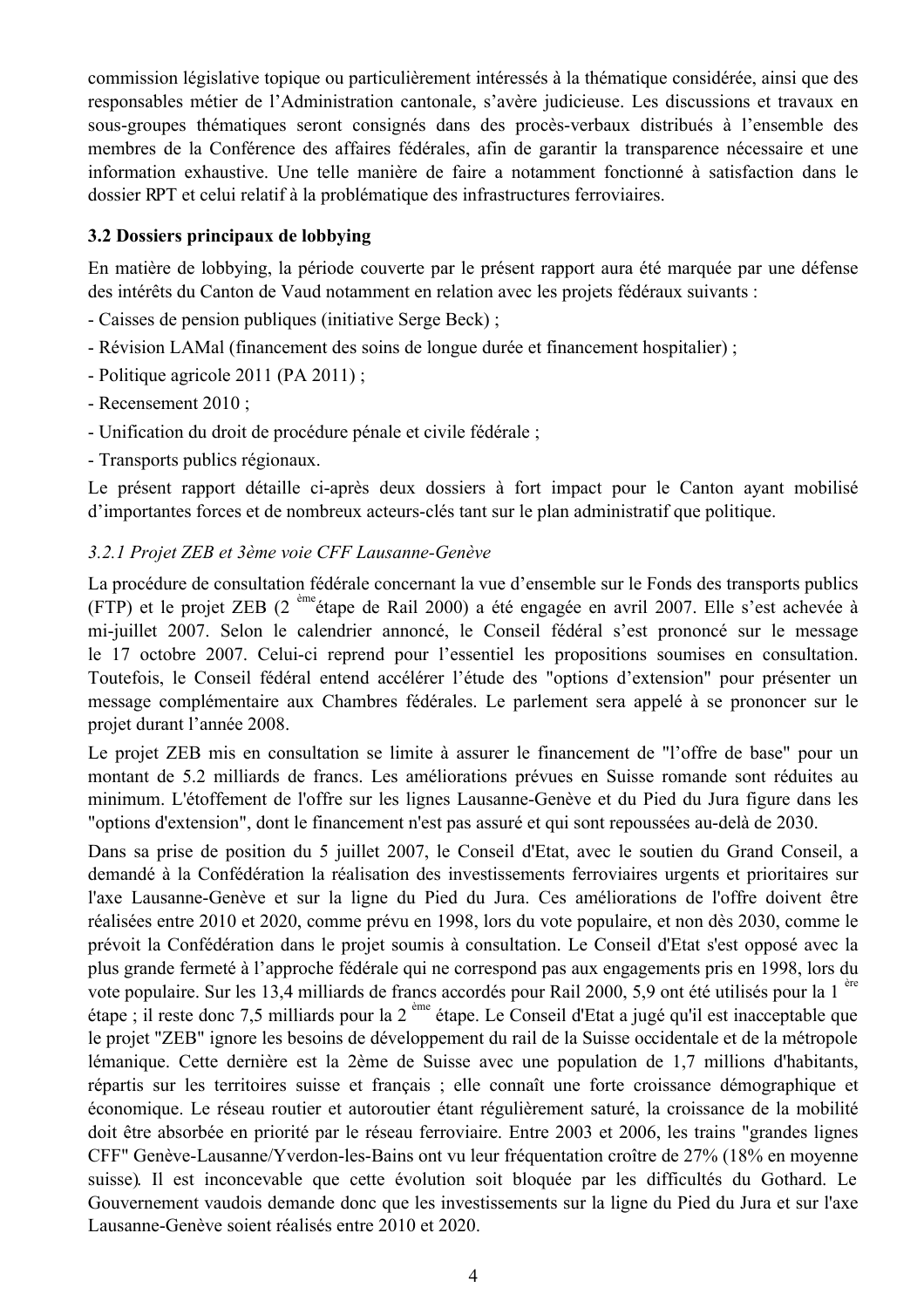commission législative topique ou particulièrement intéressés à la thématique considérée, ainsi que des responsables métier de l'Administration cantonale, s'avère judicieuse. Les discussions et travaux en sous-groupes thématiques seront consignés dans des procès-verbaux distribués à l'ensemble des membres de la Conférence des affaires fédérales, afin de garantir la transparence nécessaire et une information exhaustive. Une telle manière de faire a notamment fonctionné à satisfaction dans le dossier RPT et celui relatif à la problématique des infrastructures ferroviaires.

## 3.2 Dossiers principaux de lobbying

En matière de lobbying, la période couverte par le présent rapport aura été marquée par une défense des intérêts du Canton de Vaud notamment en relation avec les projets fédéraux suivants :

- Caisses de pension publiques (initiative Serge Beck) :
- Révision LAMal (financement des soins de longue durée et financement hospitalier);
- Politique agricole  $2011$  (PA  $2011$ );
- Recensement 2010 :
- Unification du droit de procédure pénale et civile fédérale;
- Transports publics régionaux.

Le présent rapport détaille ci-après deux dossiers à fort impact pour le Canton avant mobilisé d'importantes forces et de nombreux acteurs-clés tant sur le plan administratif que politique.

## 3.2.1 Projet ZEB et 3ème voie CFF Lausanne-Genève

La procédure de consultation fédérale concernant la vue d'ensemble sur le Fonds des transports publics (FTP) et le projet ZEB (2<sup>ème</sup> étape de Rail 2000) a été engagée en avril 2007. Elle s'est achevée à mi-juillet 2007. Selon le calendrier annoncé, le Conseil fédéral s'est prononcé sur le message le 17 octobre 2007. Celui-ci reprend pour l'essentiel les propositions soumises en consultation. Toutefois, le Conseil fédéral entend accélérer l'étude des "options d'extension" pour présenter un message complémentaire aux Chambres fédérales. Le parlement sera appelé à se prononcer sur le projet durant l'année 2008.

Le projet ZEB mis en consultation se limite à assurer le financement de "l'offre de base" pour un montant de 5.2 milliards de francs. Les améliorations prévues en Suisse romande sont réduites au minimum. L'étoffement de l'offre sur les lignes Lausanne-Genève et du Pied du Jura figure dans les "options d'extension", dont le financement n'est pas assuré et qui sont repoussées au-delà de 2030.

Dans sa prise de position du 5 juillet 2007, le Conseil d'Etat, avec le soutien du Grand Conseil, a demandé à la Confédération la réalisation des investissements ferroviaires urgents et prioritaires sur l'axe Lausanne-Genève et sur la ligne du Pied du Jura. Ces améliorations de l'offre doivent être réalisées entre 2010 et 2020, comme prévu en 1998, lors du vote populaire, et non dès 2030, comme le prévoit la Confédération dans le projet soumis à consultation. Le Conseil d'Etat s'est opposé avec la plus grande fermeté à l'approche fédérale qui ne correspond pas aux engagements pris en 1998, lors du vote populaire. Sur les 13,4 milliards de francs accordés pour Rail 2000, 5,9 ont été utilisés pour la 1<sup>ere</sup> étape; il reste donc 7,5 milliards pour la 2<sup>ème</sup> étape. Le Conseil d'Etat a jugé qu'il est inacceptable que le projet "ZEB" ignore les besoins de développement du rail de la Suisse occidentale et de la métropole lémanique. Cette dernière est la 2ème de Suisse avec une population de 1,7 millions d'habitants, répartis sur les territoires suisse et français ; elle connaît une forte croissance démographique et économique. Le réseau routier et autoroutier étant régulièrement saturé, la croissance de la mobilité doit être absorbée en priorité par le réseau ferroviaire. Entre 2003 et 2006, les trains "grandes lignes" CFF" Genève-Lausanne/Yverdon-les-Bains ont vu leur fréquentation croître de 27% (18% en moyenne suisse). Il est inconcevable que cette évolution soit bloquée par les difficultés du Gothard. Le Gouvernement vaudois demande donc que les investissements sur la ligne du Pied du Jura et sur l'axe Lausanne-Genève soient réalisés entre 2010 et 2020.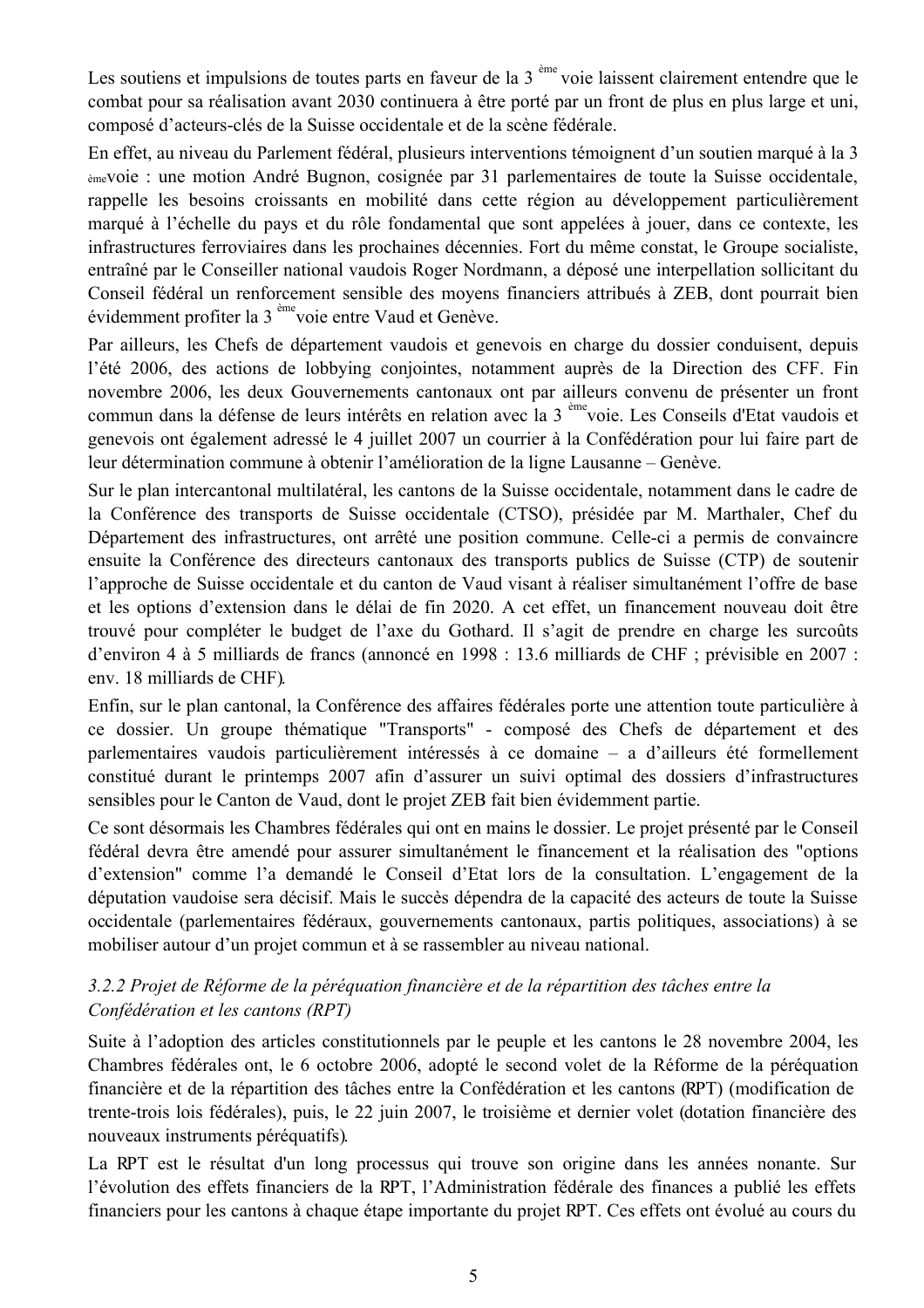Les soutiens et impulsions de toutes parts en faveur de la 3<sup>ème</sup> voie laissent clairement entendre que le combat pour sa réalisation avant 2030 continuera à être porté par un front de plus en plus large et uni, composé d'acteurs-clés de la Suisse occidentale et de la scène fédérale.

En effet, au niveau du Parlement fédéral, plusieurs interventions témoignent d'un soutien marqué à la 3 èmevoie : une motion André Bugnon, cosignée par 31 parlementaires de toute la Suisse occidentale, rappelle les besoins croissants en mobilité dans cette région au développement particulièrement marqué à l'échelle du pays et du rôle fondamental que sont appelées à jouer, dans ce contexte, les infrastructures ferroviaires dans les prochaines décennies. Fort du même constat, le Groupe socialiste, entraîné par le Conseiller national vaudois Roger Nordmann, a déposé une interpellation sollicitant du Conseil fédéral un renforcement sensible des moyens financiers attribués à ZEB, dont pourrait bien évidemment profiter la 3<sup>ème</sup>voie entre Vaud et Genève.

Par ailleurs, les Chefs de département vaudois et genevois en charge du dossier conduisent, depuis l'été 2006, des actions de lobbying conjointes, notamment auprès de la Direction des CFF. Fin novembre 2006, les deux Gouvernements cantonaux ont par ailleurs convenu de présenter un front commun dans la défense de leurs intérêts en relation avec la 3<sup>ème</sup>voie. Les Conseils d'Etat vaudois et genevois ont également adressé le 4 juillet 2007 un courrier à la Confédération pour lui faire part de leur détermination commune à obtenir l'amélioration de la ligne Lausanne – Genève.

Sur le plan intercantonal multilatéral, les cantons de la Suisse occidentale, notamment dans le cadre de la Conférence des transports de Suisse occidentale (CTSO), présidée par M. Marthaler, Chef du Département des infrastructures, ont arrêté une position commune. Celle-ci a permis de convaincre ensuite la Conférence des directeurs cantonaux des transports publics de Suisse (CTP) de soutenir l'approche de Suisse occidentale et du canton de Vaud visant à réaliser simultanément l'offre de base et les options d'extension dans le délai de fin 2020. A cet effet, un financement nouveau doit être trouvé pour compléter le budget de l'axe du Gothard. Il s'agit de prendre en charge les surcoûts d'environ 4 à 5 milliards de francs (annoncé en 1998 : 13.6 milliards de CHF ; prévisible en 2007 : env. 18 milliards de CHF).

Enfin, sur le plan cantonal, la Conférence des affaires fédérales porte une attention toute particulière à ce dossier. Un groupe thématique "Transports" - composé des Chefs de département et des parlementaires vaudois particulièrement intéressés à ce domaine – a d'ailleurs été formellement constitué durant le printemps 2007 afin d'assurer un suivi optimal des dossiers d'infrastructures sensibles pour le Canton de Vaud, dont le projet ZEB fait bien évidemment partie.

Ce sont désormais les Chambres fédérales qui ont en mains le dossier. Le projet présenté par le Conseil fédéral devra être amendé pour assurer simultanément le financement et la réalisation des "options d'extension" comme l'a demandé le Conseil d'Etat lors de la consultation. L'engagement de la députation vaudoise sera décisif. Mais le succès dépendra de la capacité des acteurs de toute la Suisse occidentale (parlementaires fédéraux, gouvernements cantonaux, partis politiques, associations) à se mobiliser autour d'un projet commun et à se rassembler au niveau national.

## 3.2.2 Projet de Réforme de la péréquation financière et de la répartition des tâches entre la Confédération et les cantons (RPT)

Suite à l'adoption des articles constitutionnels par le peuple et les cantons le 28 novembre 2004, les Chambres fédérales ont, le 6 octobre 2006, adopté le second volet de la Réforme de la péréquation financière et de la répartition des tâches entre la Confédération et les cantons (RPT) (modification de trente-trois lois fédérales), puis, le 22 juin 2007, le troisième et dernier volet (dotation financière des nouveaux instruments péréquatifs).

La RPT est le résultat d'un long processus qui trouve son origine dans les années nonante. Sur l'évolution des effets financiers de la RPT, l'Administration fédérale des finances a publié les effets financiers pour les cantons à chaque étape importante du projet RPT. Ces effets ont évolué au cours du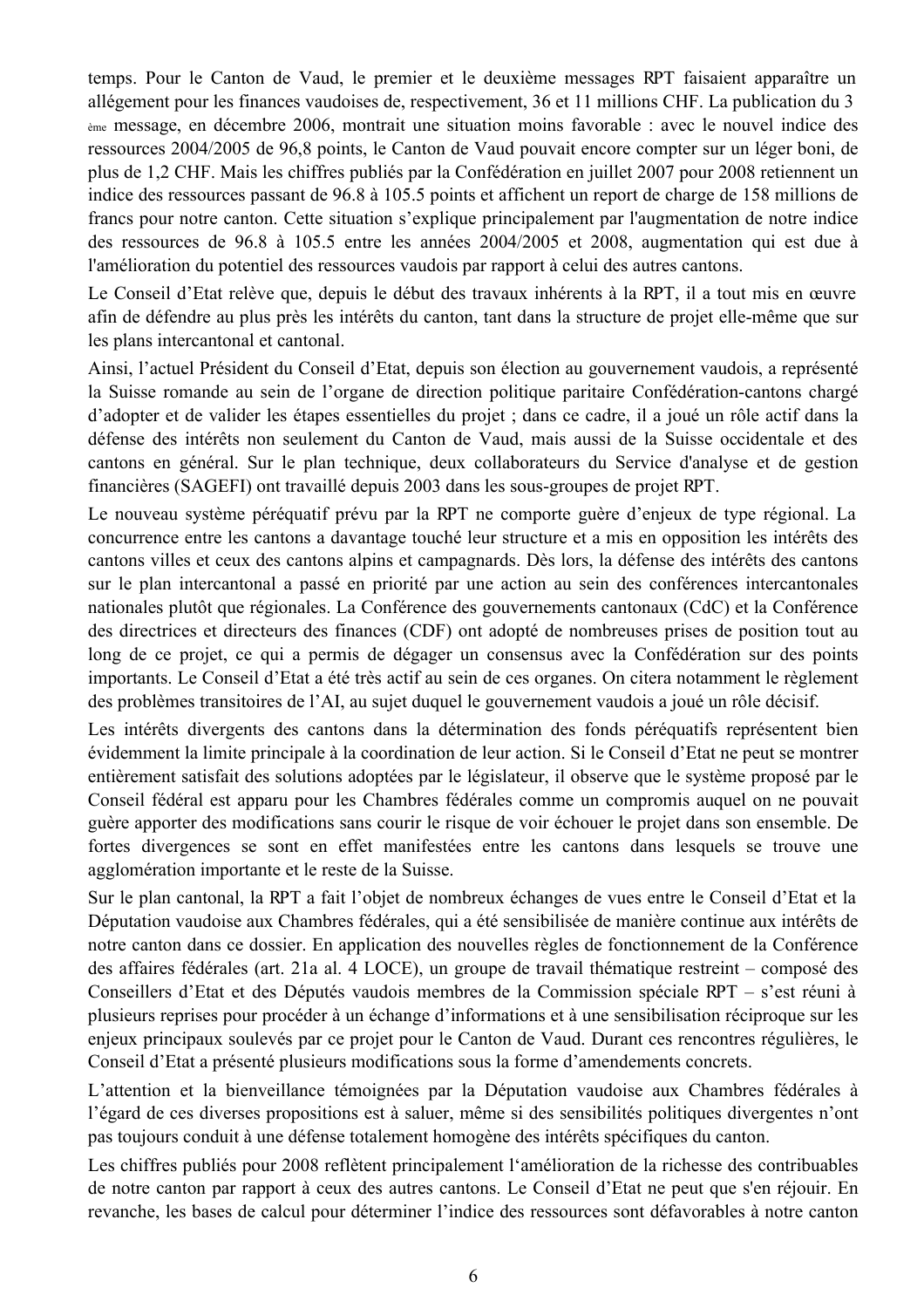temps. Pour le Canton de Vaud, le premier et le deuxième messages RPT faisaient apparaître un allégement pour les finances vaudoises de, respectivement, 36 et 11 millions CHF. La publication du 3 <sub>ème</sub> message, en décembre 2006, montrait une situation moins favorable : avec le nouvel indice des ressources 2004/2005 de 96,8 points, le Canton de Vaud pouvait encore compter sur un léger boni, de plus de 1,2 CHF. Mais les chiffres publiés par la Confédération en juillet 2007 pour 2008 retiennent un indice des ressources passant de 96.8 à 105.5 points et affichent un report de charge de 158 millions de francs pour notre canton. Cette situation s'explique principalement par l'augmentation de notre indice des ressources de 96.8 à 105.5 entre les années 2004/2005 et 2008, augmentation qui est due à l'amélioration du potentiel des ressources vaudois par rapport à celui des autres cantons.

Le Conseil d'Etat relève que, depuis le début des travaux inhérents à la RPT, il a tout mis en œuvre afin de défendre au plus près les intérêts du canton, tant dans la structure de projet elle-même que sur les plans intercantonal et cantonal.

Ainsi, l'actuel Président du Conseil d'Etat, depuis son élection au gouvernement vaudois, a représenté la Suisse romande au sein de l'organe de direction politique paritaire Confédération-cantons chargé d'adopter et de valider les étapes essentielles du projet ; dans ce cadre, il a joué un rôle actif dans la défense des intérêts non seulement du Canton de Vaud, mais aussi de la Suisse occidentale et des cantons en général. Sur le plan technique, deux collaborateurs du Service d'analyse et de gestion financières (SAGEFI) ont travaillé depuis 2003 dans les sous-groupes de projet RPT.

Le nouveau système péréquatif prévu par la RPT ne comporte guère d'enjeux de type régional. La concurrence entre les cantons a davantage touché leur structure et a mis en opposition les intérêts des cantons villes et ceux des cantons alpins et campagnards. Dès lors, la défense des intérêts des cantons sur le plan intercantonal a passé en priorité par une action au sein des conférences intercantonales nationales plutôt que régionales. La Conférence des gouvernements cantonaux (CdC) et la Conférence des directrices et directeurs des finances (CDF) ont adopté de nombreuses prises de position tout au long de ce projet, ce qui a permis de dégager un consensus avec la Confédération sur des points importants. Le Conseil d'Etat a été très actif au sein de ces organes. On citera notamment le règlement des problèmes transitoires de l'AI, au sujet duquel le gouvernement vaudois a joué un rôle décisif.

Les intérêts divergents des cantons dans la détermination des fonds péréquatifs représentent bien évidemment la limite principale à la coordination de leur action. Si le Conseil d'Etat ne peut se montrer entièrement satisfait des solutions adoptées par le législateur, il observe que le système proposé par le Conseil fédéral est apparu pour les Chambres fédérales comme un compromis auquel on ne pouvait guère apporter des modifications sans courir le risque de voir échouer le projet dans son ensemble. De fortes divergences se sont en effet manifestées entre les cantons dans lesquels se trouve une agglomération importante et le reste de la Suisse.

Sur le plan cantonal, la RPT a fait l'objet de nombreux échanges de vues entre le Conseil d'Etat et la Députation vaudoise aux Chambres fédérales, qui a été sensibilisée de manière continue aux intérêts de notre canton dans ce dossier. En application des nouvelles règles de fonctionnement de la Conférence des affaires fédérales (art. 21a al. 4 LOCE), un groupe de travail thématique restreint – composé des Conseillers d'Etat et des Députés vaudois membres de la Commission spéciale RPT – s'est réuni à plusieurs reprises pour procéder à un échange d'informations et à une sensibilisation réciproque sur les enjeux principaux soulevés par ce projet pour le Canton de Vaud. Durant ces rencontres régulières, le Conseil d'Etat a présenté plusieurs modifications sous la forme d'amendements concrets.

L'attention et la bienveillance témoignées par la Députation vaudoise aux Chambres fédérales à l'égard de ces diverses propositions est à saluer, même si des sensibilités politiques divergentes n'ont pas toujours conduit à une défense totalement homogène des intérêts spécifiques du canton.

Les chiffres publiés pour 2008 reflètent principalement l'amélioration de la richesse des contribuables de notre canton par rapport à ceux des autres cantons. Le Conseil d'Etat ne peut que s'en réjouir. En revanche, les bases de calcul pour déterminer l'indice des ressources sont défavorables à notre canton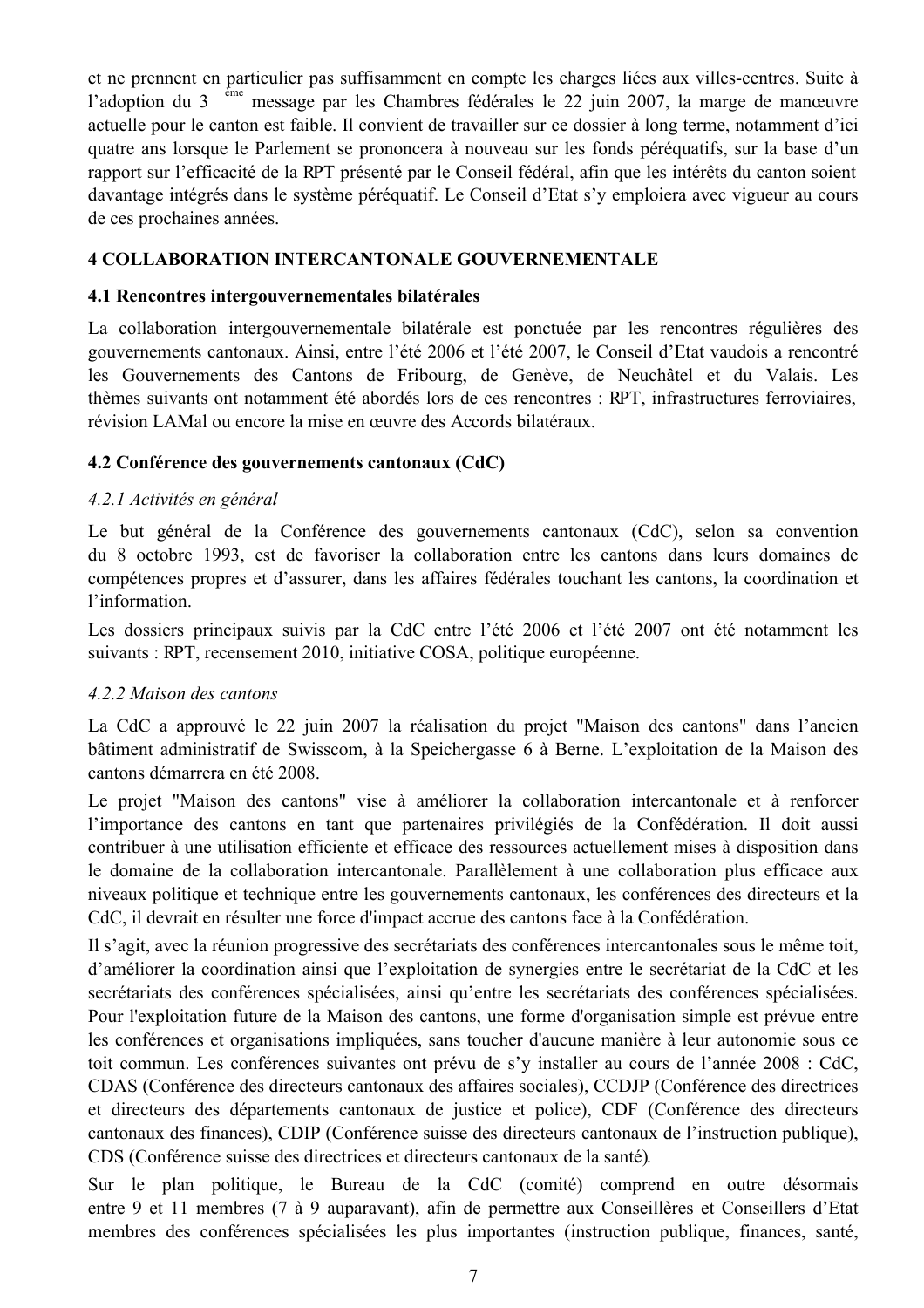et ne prennent en particulier pas suffisamment en compte les charges liées aux villes-centres. Suite à l'adoption du 3<sup>ème</sup> message par les Chambres fédérales le 22 juin 2007, la marge de manœuvre actuelle pour le canton est faible. Il convient de travailler sur ce dossier à long terme, notamment d'ici quatre ans lorsque le Parlement se prononcera à nouveau sur les fonds péréquatifs, sur la base d'un rapport sur l'efficacité de la RPT présenté par le Conseil fédéral, afin que les intérêts du canton soient davantage intégrés dans le système péréquatif. Le Conseil d'Etat s'y emploiera avec vigueur au cours de ces prochaines années.

## **4 COLLABORATION INTERCANTONALE GOUVERNEMENTALE**

### 4.1 Rencontres intergouvernementales bilatérales

La collaboration intergouvernementale bilatérale est ponctuée par les rencontres régulières des gouvernements cantonaux. Ainsi, entre l'été 2006 et l'été 2007, le Conseil d'Etat vaudois a rencontré les Gouvernements des Cantons de Fribourg, de Genève, de Neuchâtel et du Valais. Les thèmes suivants ont notamment été abordés lors de ces rencontres : RPT, infrastructures ferroviaires, révision LAMal ou encore la mise en œuvre des Accords bilatéraux.

## 4.2 Conférence des gouvernements cantonaux (CdC)

### 4.2.1 Activités en général

Le but général de la Conférence des gouvernements cantonaux (CdC), selon sa convention du 8 octobre 1993, est de favoriser la collaboration entre les cantons dans leurs domaines de compétences propres et d'assurer, dans les affaires fédérales touchant les cantons, la coordination et l'information.

Les dossiers principaux suivis par la CdC entre l'été 2006 et l'été 2007 ont été notamment les suivants : RPT, recensement 2010, initiative COSA, politique européenne.

## 4.2.2 Maison des cantons

La CdC a approuvé le 22 juin 2007 la réalisation du projet "Maison des cantons" dans l'ancien bâtiment administratif de Swisscom, à la Speichergasse 6 à Berne. L'exploitation de la Maison des cantons démarrera en été 2008.

Le projet "Maison des cantons" vise à améliorer la collaboration intercantonale et à renforcer l'importance des cantons en tant que partenaires privilégiés de la Confédération. Il doit aussi contribuer à une utilisation efficiente et efficace des ressources actuellement mises à disposition dans le domaine de la collaboration intercantonale. Parallèlement à une collaboration plus efficace aux niveaux politique et technique entre les gouvernements cantonaux, les conférences des directeurs et la CdC, il devrait en résulter une force d'impact accrue des cantons face à la Confédération.

Il s'agit, avec la réunion progressive des secrétariats des conférences intercantonales sous le même toit. d'améliorer la coordination ainsi que l'exploitation de synergies entre le secrétariat de la CdC et les secrétariats des conférences spécialisées, ainsi qu'entre les secrétariats des conférences spécialisées. Pour l'exploitation future de la Maison des cantons, une forme d'organisation simple est prévue entre les conférences et organisations impliquées, sans toucher d'aucune manière à leur autonomie sous ce toit commun. Les conférences suivantes ont prévu de s'y installer au cours de l'année 2008 : CdC, CDAS (Conférence des directeurs cantonaux des affaires sociales), CCDJP (Conférence des directrices et directeurs des départements cantonaux de justice et police), CDF (Conférence des directeurs cantonaux des finances). CDIP (Conférence suisse des directeurs cantonaux de l'instruction publique). CDS (Conférence suisse des directrices et directeurs cantonaux de la santé).

Sur le plan politique, le Bureau de la CdC (comité) comprend en outre désormais entre 9 et 11 membres (7 à 9 auparavant), afin de permettre aux Conseillères et Conseillers d'Etat membres des conférences spécialisées les plus importantes (instruction publique, finances, santé,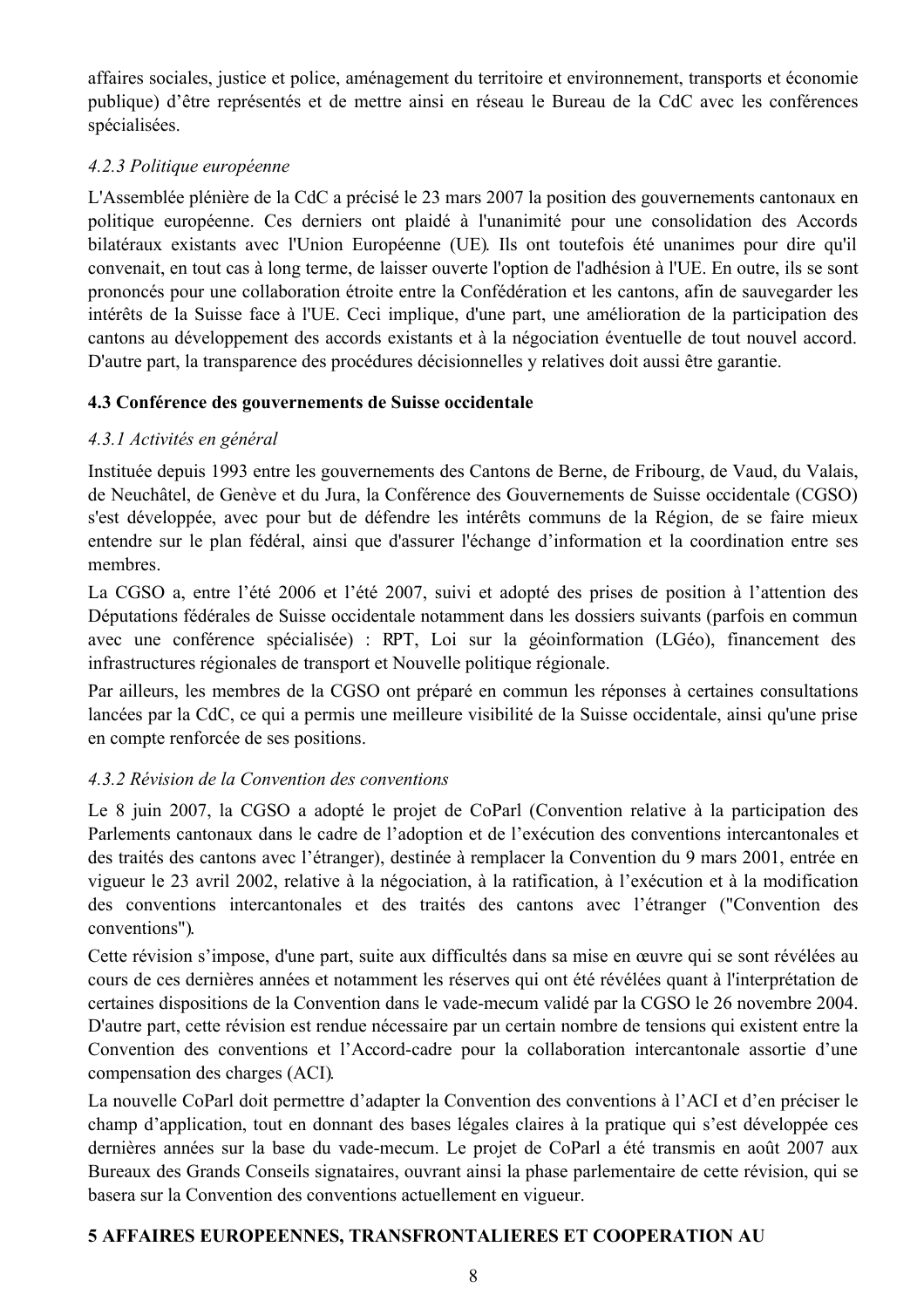affaires sociales, justice et police, aménagement du territoire et environnement, transports et économie publique) d'être représentés et de mettre ainsi en réseau le Bureau de la CdC avec les conférences spécialisées.

## 4.2.3 Politique européenne

L'Assemblée plénière de la CdC a précisé le 23 mars 2007 la position des gouvernements cantonaux en politique européenne. Ces derniers ont plaidé à l'unanimité pour une consolidation des Accords bilatéraux existants avec l'Union Européenne (UE). Ils ont toutefois été unanimes pour dire qu'il convenait, en tout cas à long terme, de laisser ouverte l'option de l'adhésion à l'UE. En outre, ils se sont prononcés pour une collaboration étroite entre la Confédération et les cantons, afin de sauvegarder les intérêts de la Suisse face à l'UE. Ceci implique, d'une part, une amélioration de la participation des cantons au développement des accords existants et à la négociation éventuelle de tout nouvel accord. D'autre part, la transparence des procédures décisionnelles y relatives doit aussi être garantie.

## 4.3 Conférence des gouvernements de Suisse occidentale

# 4.3.1 Activités en général

Instituée depuis 1993 entre les gouvernements des Cantons de Berne, de Fribourg, de Vaud, du Valais, de Neuchâtel, de Genève et du Jura, la Conférence des Gouvernements de Suisse occidentale (CGSO) s'est développée, avec pour but de défendre les intérêts communs de la Région, de se faire mieux entendre sur le plan fédéral, ainsi que d'assurer l'échange d'information et la coordination entre ses membres.

La CGSO a, entre l'été 2006 et l'été 2007, suivi et adopté des prises de position à l'attention des Députations fédérales de Suisse occidentale notamment dans les dossiers suivants (parfois en commun avec une conférence spécialisée) : RPT, Loi sur la géoinformation (LGéo), financement des infrastructures régionales de transport et Nouvelle politique régionale.

Par ailleurs, les membres de la CGSO ont préparé en commun les réponses à certaines consultations lancées par la CdC, ce qui a permis une meilleure visibilité de la Suisse occidentale, ainsi qu'une prise en compte renforcée de ses positions.

# 4.3.2 Révision de la Convention des conventions

Le 8 juin 2007, la CGSO a adopté le projet de CoParl (Convention relative à la participation des Parlements cantonaux dans le cadre de l'adoption et de l'exécution des conventions intercantonales et des traités des cantons avec l'étranger), destinée à remplacer la Convention du 9 mars 2001, entrée en vigueur le 23 avril 2002, relative à la négociation, à la ratification, à l'exécution et à la modification des conventions intercantonales et des traités des cantons avec l'étranger ("Convention des conventions").

Cette révision s'impose, d'une part, suite aux difficultés dans sa mise en œuvre qui se sont révélées au cours de ces dernières années et notamment les réserves qui ont été révélées quant à l'interprétation de certaines dispositions de la Convention dans le vade-mecum validé par la CGSO le 26 novembre 2004. D'autre part, cette révision est rendue nécessaire par un certain nombre de tensions qui existent entre la Convention des conventions et l'Accord-cadre pour la collaboration intercantonale assortie d'une compensation des charges (ACI).

La nouvelle CoParl doit permettre d'adapter la Convention des conventions à l'ACI et d'en préciser le champ d'application, tout en donnant des bases légales claires à la pratique qui s'est développée ces dernières années sur la base du vade-mecum. Le projet de CoParl a été transmis en août 2007 aux Bureaux des Grands Conseils signataires, ouvrant ainsi la phase parlementaire de cette révision, qui se basera sur la Convention des conventions actuellement en vigueur.

# **5 AFFAIRES EUROPEENNES, TRANSFRONTALIERES ET COOPERATION AU**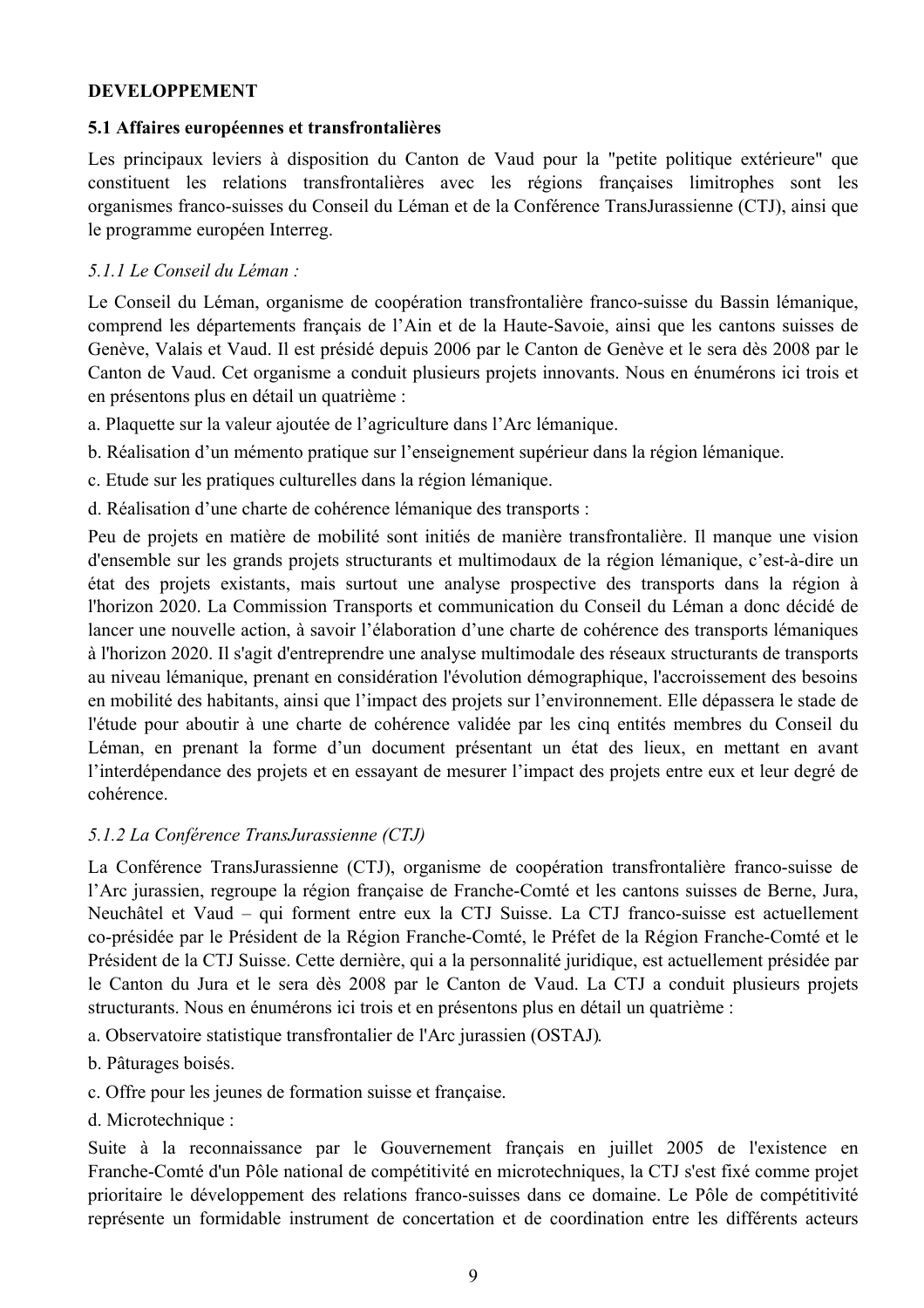## **DEVELOPPEMENT**

### 5.1 Affaires européennes et transfrontalières

Les principaux leviers à disposition du Canton de Vaud pour la "petite politique extérieure" que constituent les relations transfrontalières avec les régions françaises limitrophes sont les organismes franco-suisses du Conseil du Léman et de la Conférence TransJurassienne (CTJ), ainsi que le programme européen Interreg.

## 5.1.1 Le Conseil du Léman :

Le Conseil du Léman, organisme de coopération transfrontalière franco-suisse du Bassin lémanique, comprend les départements français de l'Ain et de la Haute-Savoie, ainsi que les cantons suisses de Genève, Valais et Vaud. Il est présidé depuis 2006 par le Canton de Genève et le sera dès 2008 par le Canton de Vaud. Cet organisme a conduit plusieurs projets innovants. Nous en énumérons ici trois et en présentons plus en détail un quatrième :

- a. Plaquette sur la valeur ajoutée de l'agriculture dans l'Arc lémanique.
- b. Réalisation d'un mémento pratique sur l'enseignement supérieur dans la région lémanique.
- c. Etude sur les pratiques culturelles dans la région lémanique.
- d. Réalisation d'une charte de cohérence lémanique des transports :

Peu de projets en matière de mobilité sont initiés de manière transfrontalière. Il manque une vision d'ensemble sur les grands projets structurants et multimodaux de la région lémanique, c'est-à-dire un état des projets existants, mais surtout une analyse prospective des transports dans la région à l'horizon 2020. La Commission Transports et communication du Conseil du Léman a donc décidé de lancer une nouvelle action, à savoir l'élaboration d'une charte de cohérence des transports lémaniques à l'horizon 2020. Il s'agit d'entreprendre une analyse multimodale des réseaux structurants de transports au niveau lémanique, prenant en considération l'évolution démographique, l'accroissement des besoins en mobilité des habitants, ainsi que l'impact des projets sur l'environnement. Elle dépassera le stade de l'étude pour aboutir à une charte de cohérence validée par les cinq entités membres du Conseil du Léman, en prenant la forme d'un document présentant un état des lieux, en mettant en avant l'interdépendance des projets et en essayant de mesurer l'impact des projets entre eux et leur degré de cohérence

### 5.1.2 La Conférence TransJurassienne (CTJ)

La Conférence TransJurassienne (CTJ), organisme de coopération transfrontalière franco-suisse de l'Arc jurassien, regroupe la région française de Franche-Comté et les cantons suisses de Berne, Jura, Neuchâtel et Vaud – qui forment entre eux la CTJ Suisse. La CTJ franco-suisse est actuellement co-présidée par le Président de la Région Franche-Comté, le Préfet de la Région Franche-Comté et le Président de la CTJ Suisse. Cette dernière, qui a la personnalité juridique, est actuellement présidée par le Canton du Jura et le sera dès 2008 par le Canton de Vaud. La CTJ a conduit plusieurs projets structurants. Nous en énumérons ici trois et en présentons plus en détail un quatrième :

- a. Observatoire statistique transfrontalier de l'Arc jurassien (OSTAJ).
- b. Pâturages boisés.
- c. Offre pour les jeunes de formation suisse et française.
- d. Microtechnique :

Suite à la reconnaissance par le Gouvernement français en juillet 2005 de l'existence en Franche-Comté d'un Pôle national de compétitivité en microtechniques, la CTJ s'est fixé comme projet prioritaire le développement des relations franco-suisses dans ce domaine. Le Pôle de compétitivité représente un formidable instrument de concertation et de coordination entre les différents acteurs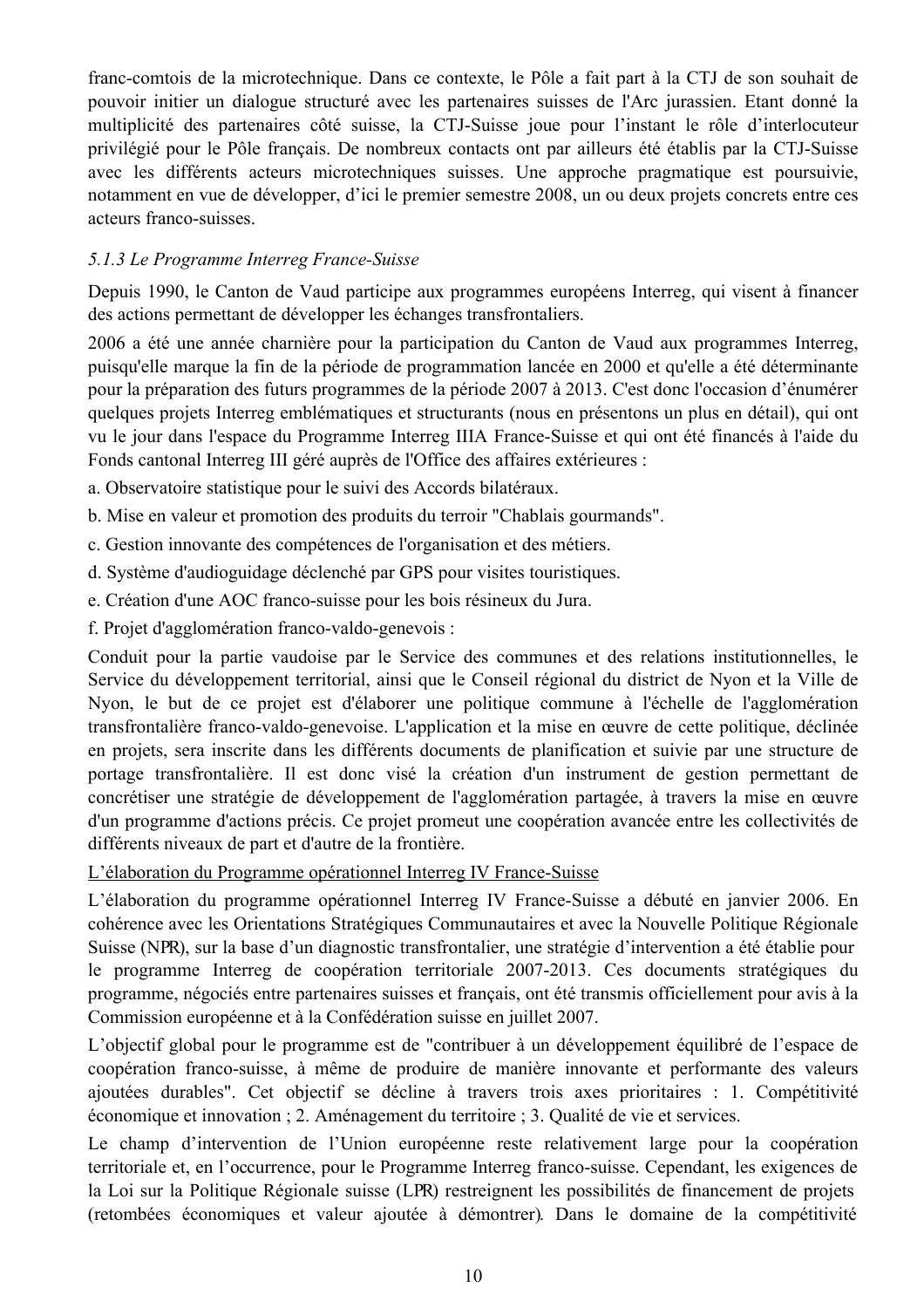franc-comtois de la microtechnique. Dans ce contexte, le Pôle a fait part à la CTJ de son souhait de pouvoir initier un dialogue structuré avec les partenaires suisses de l'Arc jurassien. Etant donné la multiplicité des partenaires côté suisse, la CTJ-Suisse joue pour l'instant le rôle d'interlocuteur privilégié pour le Pôle français. De nombreux contacts ont par ailleurs été établis par la CTJ-Suisse avec les différents acteurs microtechniques suisses. Une approche pragmatique est poursuivie, notamment en vue de développer, d'ici le premier semestre 2008, un ou deux projets concrets entre ces acteurs franco-suisses

## 5.1.3 Le Programme Interreg France-Suisse

Depuis 1990, le Canton de Vaud participe aux programmes européens Interreg, qui visent à financer des actions permettant de développer les échanges transfrontaliers.

2006 a été une année charnière pour la participation du Canton de Vaud aux programmes Interreg, puisqu'elle marque la fin de la période de programmation lancée en 2000 et qu'elle a été déterminante pour la préparation des futurs programmes de la période 2007 à 2013. C'est donc l'occasion d'énumérer quelques projets Interreg emblématiques et structurants (nous en présentons un plus en détail), qui ont vu le jour dans l'espace du Programme Interreg IIIA France-Suisse et qui ont été financés à l'aide du Fonds cantonal Interreg III géré auprès de l'Office des affaires extérieures :

- a. Observatoire statistique pour le suivi des Accords bilatéraux.
- b. Mise en valeur et promotion des produits du terroir "Chablais gourmands".
- c. Gestion innovante des compétences de l'organisation et des métiers.
- d. Système d'audioguidage déclenché par GPS pour visites touristiques.
- e. Création d'une AOC franco-suisse pour les bois résineux du Jura.
- f. Projet d'agglomération franco-valdo-genevois :

Conduit pour la partie vaudoise par le Service des communes et des relations institutionnelles, le Service du développement territorial, ainsi que le Conseil régional du district de Nyon et la Ville de Nyon, le but de ce projet est d'élaborer une politique commune à l'échelle de l'agglomération transfrontalière franco-valdo-genevoise. L'application et la mise en œuvre de cette politique, déclinée en projets, sera inscrite dans les différents documents de planification et suivie par une structure de portage transfrontalière. Il est donc visé la création d'un instrument de gestion permettant de concrétiser une stratégie de développement de l'agglomération partagée, à travers la mise en œuvre d'un programme d'actions précis. Ce projet promeut une coopération avancée entre les collectivités de différents niveaux de part et d'autre de la frontière.

L'élaboration du Programme opérationnel Interreg IV France-Suisse

L'élaboration du programme opérationnel Interreg IV France-Suisse a débuté en janvier 2006. En cohérence avec les Orientations Stratégiques Communautaires et avec la Nouvelle Politique Régionale Suisse (NPR), sur la base d'un diagnostic transfrontalier, une stratégie d'intervention a été établie pour le programme Interreg de coopération territoriale 2007-2013. Ces documents stratégiques du programme, négociés entre partenaires suisses et français, ont été transmis officiellement pour avis à la Commission européenne et à la Confédération suisse en juillet 2007.

L'objectif global pour le programme est de "contribuer à un développement équilibré de l'espace de coopération franco-suisse, à même de produire de manière innovante et performante des valeurs ajoutées durables". Cet objectif se décline à travers trois axes prioritaires : 1. Compétitivité économique et innovation ; 2. Aménagement du territoire ; 3. Qualité de vie et services.

Le champ d'intervention de l'Union européenne reste relativement large pour la coopération territoriale et, en l'occurrence, pour le Programme Interreg franco-suisse, Cependant, les exigences de la Loi sur la Politique Régionale suisse (LPR) restreignent les possibilités de financement de projets (retombées économiques et valeur ajoutée à démontrer). Dans le domaine de la compétitivité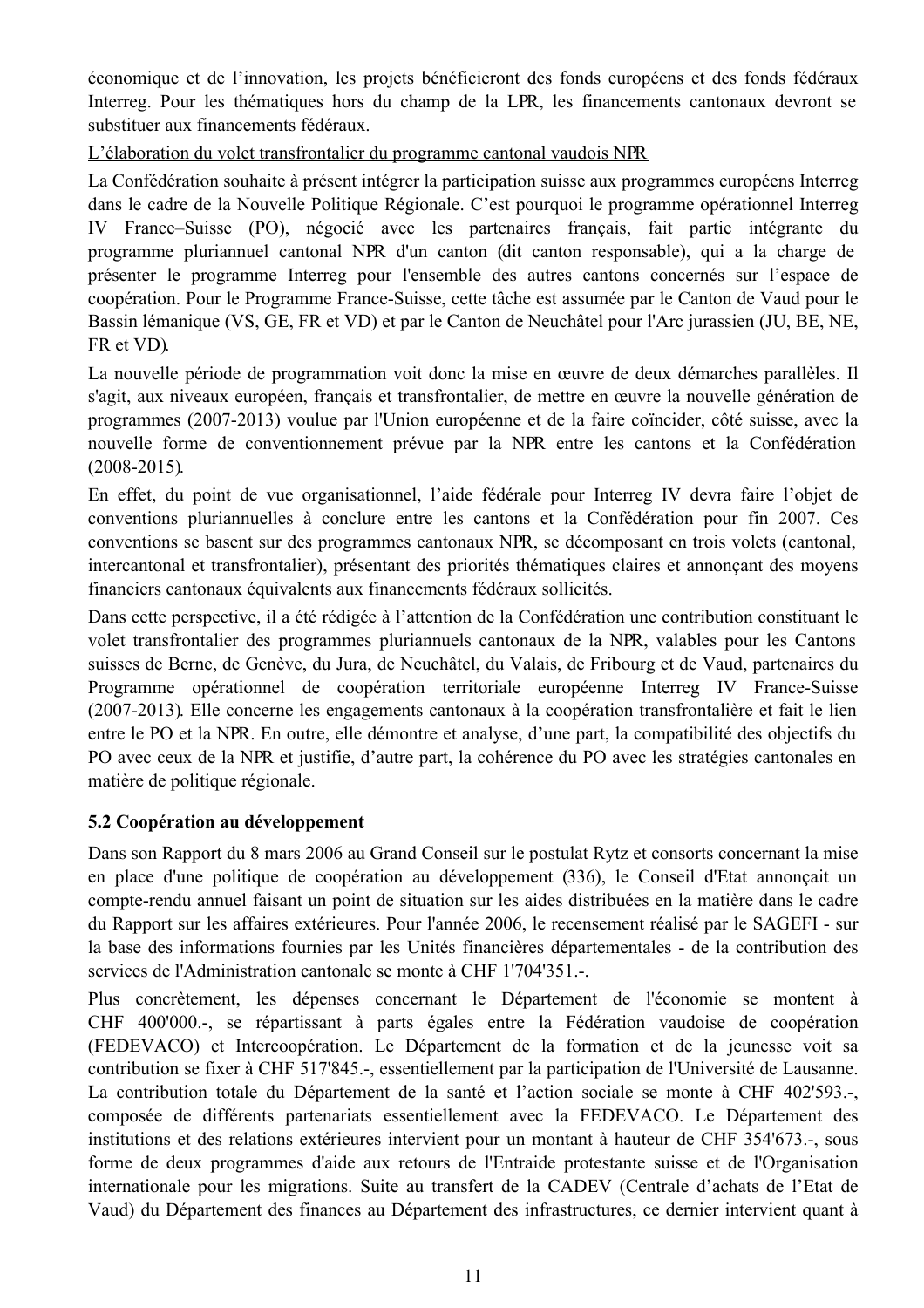économique et de l'innovation, les projets bénéficieront des fonds européens et des fonds fédéraux Interreg. Pour les thématiques hors du champ de la LPR, les financements cantonaux devront se substituer aux financements fédéraux.

L'élaboration du volet transfrontalier du programme cantonal vaudois NPR

La Confédération souhaite à présent intégrer la participation suisse aux programmes européens Interreg dans le cadre de la Nouvelle Politique Régionale. C'est pourquoi le programme opérationnel Interreg IV France–Suisse (PO), négocié avec les partenaires français, fait partie intégrante du programme pluriannuel cantonal NPR d'un canton (dit canton responsable), qui a la charge de présenter le programme Interreg pour l'ensemble des autres cantons concernés sur l'espace de coopération. Pour le Programme France-Suisse, cette tâche est assumée par le Canton de Vaud pour le Bassin lémanique (VS, GE, FR et VD) et par le Canton de Neuchâtel pour l'Arc jurassien (JU, BE, NE, FR et VD).

La nouvelle période de programmation voit donc la mise en œuvre de deux démarches parallèles. Il s'agit, aux niveaux européen, français et transfrontalier, de mettre en œuvre la nouvelle génération de programmes (2007-2013) voulue par l'Union européenne et de la faire coïncider, côté suisse, avec la nouvelle forme de conventionnement prévue par la NPR entre les cantons et la Confédération  $(2008 - 2015)$ .

En effet, du point de vue organisationnel, l'aide fédérale pour Interreg IV devra faire l'objet de conventions pluriannuelles à conclure entre les cantons et la Confédération pour fin 2007. Ces conventions se basent sur des programmes cantonaux NPR, se décomposant en trois volets (cantonal, intercantonal et transfrontalier), présentant des priorités thématiques claires et annonçant des moyens financiers cantonaux équivalents aux financements fédéraux sollicités.

Dans cette perspective, il a été rédigée à l'attention de la Confédération une contribution constituant le volet transfrontalier des programmes pluriannuels cantonaux de la NPR, valables pour les Cantons suisses de Berne, de Genève, du Jura, de Neuchâtel, du Valais, de Fribourg et de Vaud, partenaires du Programme opérationnel de coopération territoriale européenne Interreg IV France-Suisse (2007-2013). Elle concerne les engagements cantonaux à la coopération transfrontalière et fait le lien entre le PO et la NPR. En outre, elle démontre et analyse, d'une part, la compatibilité des objectifs du PO avec ceux de la NPR et justifie, d'autre part, la cohérence du PO avec les stratégies cantonales en matière de politique régionale.

## 5.2 Coopération au développement

Dans son Rapport du 8 mars 2006 au Grand Conseil sur le postulat Rytz et consorts concernant la mise en place d'une politique de coopération au développement (336), le Conseil d'Etat annonçait un compte-rendu annuel faisant un point de situation sur les aides distribuées en la matière dans le cadre du Rapport sur les affaires extérieures. Pour l'année 2006, le recensement réalisé par le SAGEFI - sur la base des informations fournies par les Unités financières départementales - de la contribution des services de l'Administration cantonale se monte à CHF 1'704'351.-.

Plus concrètement, les dépenses concernant le Département de l'économie se montent à CHF 400'000.-, se répartissant à parts égales entre la Fédération vaudoise de coopération (FEDEVACO) et Intercoopération. Le Département de la formation et de la jeunesse voit sa contribution se fixer à CHF 517'845.-, essentiellement par la participation de l'Université de Lausanne. La contribution totale du Département de la santé et l'action sociale se monte à CHF 402'593. composée de différents partenariats essentiellement avec la FEDEVACO. Le Département des institutions et des relations extérieures intervient pour un montant à hauteur de CHF 354'673.-, sous forme de deux programmes d'aide aux retours de l'Entraide protestante suisse et de l'Organisation internationale pour les migrations. Suite au transfert de la CADEV (Centrale d'achats de l'Etat de Vaud) du Département des finances au Département des infrastructures, ce dernier intervient quant à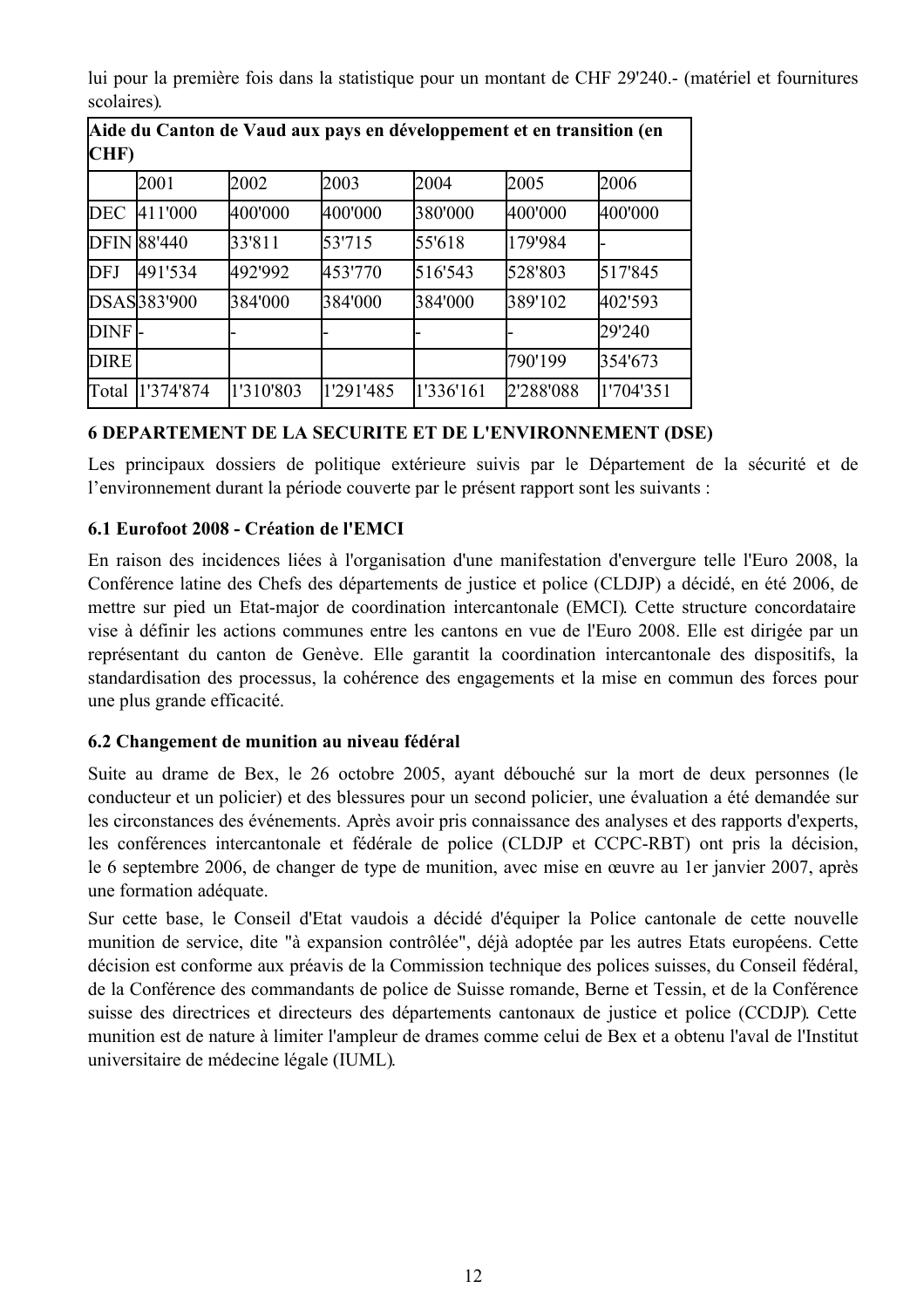lui pour la première fois dans la statistique pour un montant de CHF 29'240.- (matériel et fournitures scolaires)

┑

| Anie du Canton de Vadu aux pays en developpement et en transition (en<br>CHF) |                    |           |           |           |           |           |
|-------------------------------------------------------------------------------|--------------------|-----------|-----------|-----------|-----------|-----------|
|                                                                               | 2001               | 2002      | 2003      | 2004      | 2005      | 2006      |
| DEC                                                                           | 411'000            | 400'000   | 400'000   | 380'000   | 400'000   | 400'000   |
|                                                                               | <b>DFIN 88'440</b> | 33'811    | 53'715    | 55'618    | 179'984   |           |
| <b>DFJ</b>                                                                    | 491'534            | 492'992   | 453'770   | 516'543   | 528'803   | 517'845   |
|                                                                               | DSAS383'900        | 384'000   | 384'000   | 384'000   | 389'102   | 402'593   |
| DINF-                                                                         |                    |           |           |           |           | 29'240    |
| <b>DIRE</b>                                                                   |                    |           |           |           | 790'199   | 354'673   |
| Total                                                                         | 1'374'874          | 1'310'803 | 1'291'485 | 1'336'161 | 2'288'088 | 1'704'351 |

Aide du Canton de Vaud aux nave en développement et en transition (en

# **6 DEPARTEMENT DE LA SECURITE ET DE L'ENVIRONNEMENT (DSE)**

Les principaux dossiers de politique extérieure suivis par le Département de la sécurité et de l'environnement durant la période couverte par le présent rapport sont les suivants :

## 6.1 Eurofoot 2008 - Création de l'EMCI

En raison des incidences liées à l'organisation d'une manifestation d'envergure telle l'Euro 2008, la Conférence latine des Chefs des départements de justice et police (CLDJP) a décidé, en été 2006, de mettre sur pied un Etat-major de coordination intercantonale (EMCI). Cette structure concordataire vise à définir les actions communes entre les cantons en vue de l'Euro 2008. Elle est dirigée par un représentant du canton de Genève. Elle garantit la coordination intercantonale des dispositifs, la standardisation des processus, la cohérence des engagements et la mise en commun des forces pour une plus grande efficacité.

## 6.2 Changement de munition au niveau fédéral

Suite au drame de Bex, le 26 octobre 2005, avant débouché sur la mort de deux personnes (le conducteur et un policier) et des blessures pour un second policier, une évaluation a été demandée sur les circonstances des événements. Après avoir pris connaissance des analyses et des rapports d'experts, les conférences intercantonale et fédérale de police (CLDJP et CCPC-RBT) ont pris la décision, le 6 septembre 2006, de changer de type de munition, avec mise en œuvre au 1 er janvier 2007, après une formation adéquate.

Sur cette base, le Conseil d'Etat vaudois a décidé d'équiper la Police cantonale de cette nouvelle munition de service, dite "à expansion contrôlée", déjà adoptée par les autres Etats européens. Cette décision est conforme aux préavis de la Commission technique des polices suisses, du Conseil fédéral, de la Conférence des commandants de police de Suisse romande, Berne et Tessin, et de la Conférence suisse des directrices et directeurs des départements cantonaux de justice et police (CCDJP). Cette munition est de nature à limiter l'ampleur de drames comme celui de Bex et a obtenu l'aval de l'Institut universitaire de médecine légale (IUML).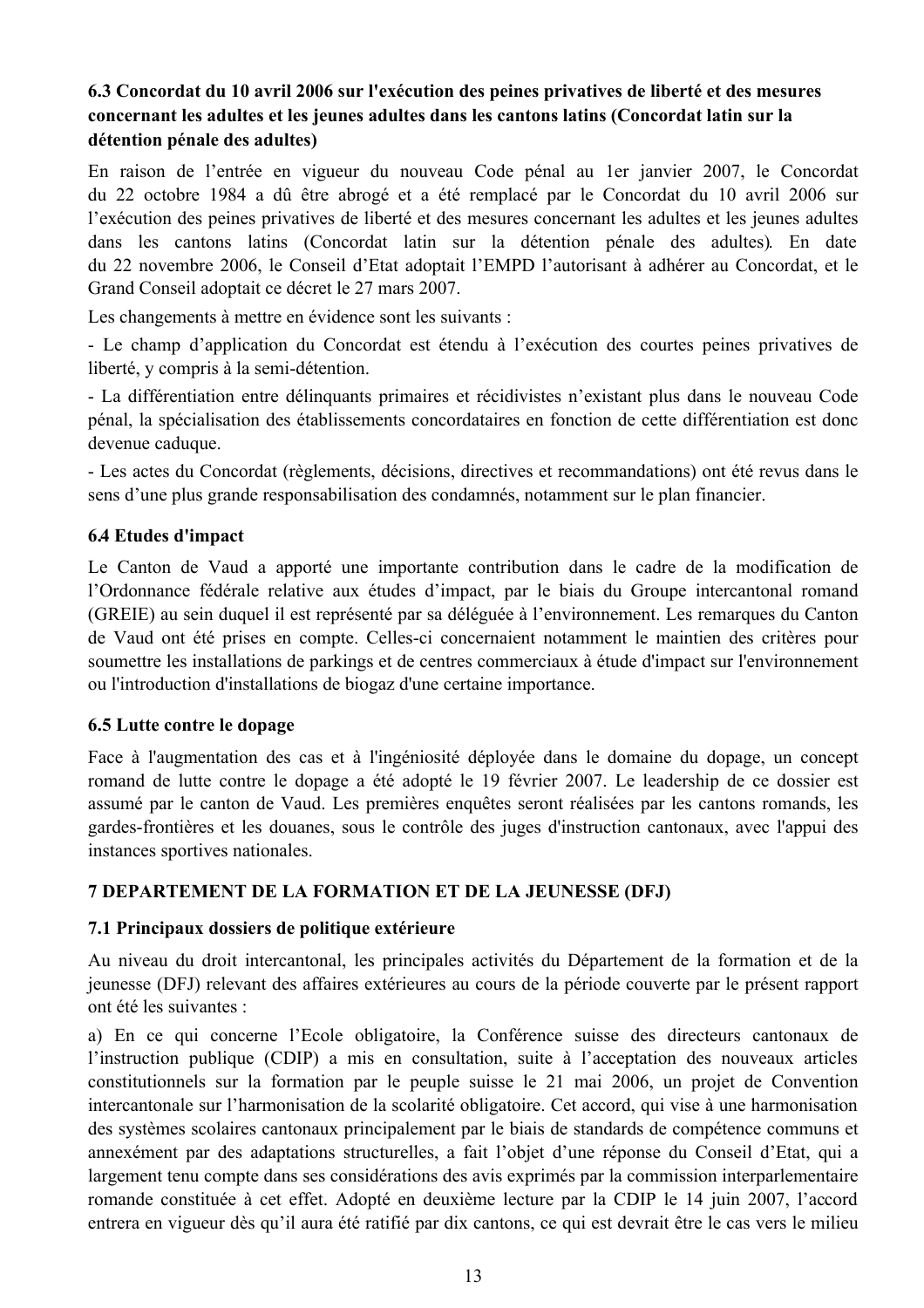## 6.3 Concordat du 10 avril 2006 sur l'exécution des peines privatives de liberté et des mesures concernant les adultes et les jeunes adultes dans les cantons latins (Concordat latin sur la détention pénale des adultes)

En raison de l'entrée en vigueur du nouveau Code pénal au 1 er janvier 2007, le Concordat du 22 octobre 1984 a dû être abrogé et a été remplacé par le Concordat du 10 avril 2006 sur l'exécution des peines privatives de liberté et des mesures concernant les adultes et les jeunes adultes dans les cantons latins (Concordat latin sur la détention pénale des adultes). En date du 22 novembre 2006, le Conseil d'Etat adoptait l'EMPD l'autorisant à adhérer au Concordat, et le Grand Conseil adoptait ce décret le 27 mars 2007.

Les changements à mettre en évidence sont les suivants :

- Le champ d'application du Concordat est étendu à l'exécution des courtes peines privatives de liberté, y compris à la semi-détention.

- La différentiation entre délinguants primaires et récidivistes n'existant plus dans le nouveau Code pénal, la spécialisation des établissements concordataires en fonction de cette différentiation est donc devenue caduque.

- Les actes du Concordat (règlements, décisions, directives et recommandations) ont été revus dans le sens d'une plus grande responsabilisation des condamnés, notamment sur le plan financier.

## **6.4 Etudes d'impact**

Le Canton de Vaud a apporté une importante contribution dans le cadre de la modification de l'Ordonnance fédérale relative aux études d'impact, par le biais du Groupe intercantonal romand (GREIE) au sein duquel il est représenté par sa déléguée à l'environnement. Les remarques du Canton de Vaud ont été prises en compte. Celles-ci concernaient notamment le maintien des critères pour soumettre les installations de parkings et de centres commerciaux à étude d'impact sur l'environnement ou l'introduction d'installations de biogaz d'une certaine importance.

### 6.5 Lutte contre le dopage

Face à l'augmentation des cas et à l'ingéniosité déployée dans le domaine du dopage, un concept romand de lutte contre le dopage a été adopté le 19 février 2007. Le leadership de ce dossier est assumé par le canton de Vaud. Les premières enquêtes seront réalisées par les cantons romands, les gardes-frontières et les douanes, sous le contrôle des juges d'instruction cantonaux, avec l'appui des instances sportives nationales.

## 7 DEPARTEMENT DE LA FORMATION ET DE LA JEUNESSE (DFJ)

### 7.1 Principaux dossiers de politique extérieure

Au niveau du droit intercantonal, les principales activités du Département de la formation et de la jeunesse (DFJ) relevant des affaires extérieures au cours de la période couverte par le présent rapport ont été les suivantes :

a) En ce qui concerne l'Ecole obligatoire, la Conférence suisse des directeurs cantonaux de l'instruction publique (CDIP) a mis en consultation, suite à l'acceptation des nouveaux articles constitutionnels sur la formation par le peuple suisse le 21 mai 2006, un projet de Convention intercantonale sur l'harmonisation de la scolarité obligatoire. Cet accord, qui vise à une harmonisation des systèmes scolaires cantonaux principalement par le biais de standards de compétence communs et annexément par des adaptations structurelles, a fait l'objet d'une réponse du Conseil d'Etat, qui a largement tenu compte dans ses considérations des avis exprimés par la commission interparlementaire romande constituée à cet effet. Adopté en deuxième lecture par la CDIP le 14 juin 2007, l'accord entrera en vigueur dès qu'il aura été ratifié par dix cantons, ce qui est devrait être le cas vers le milieu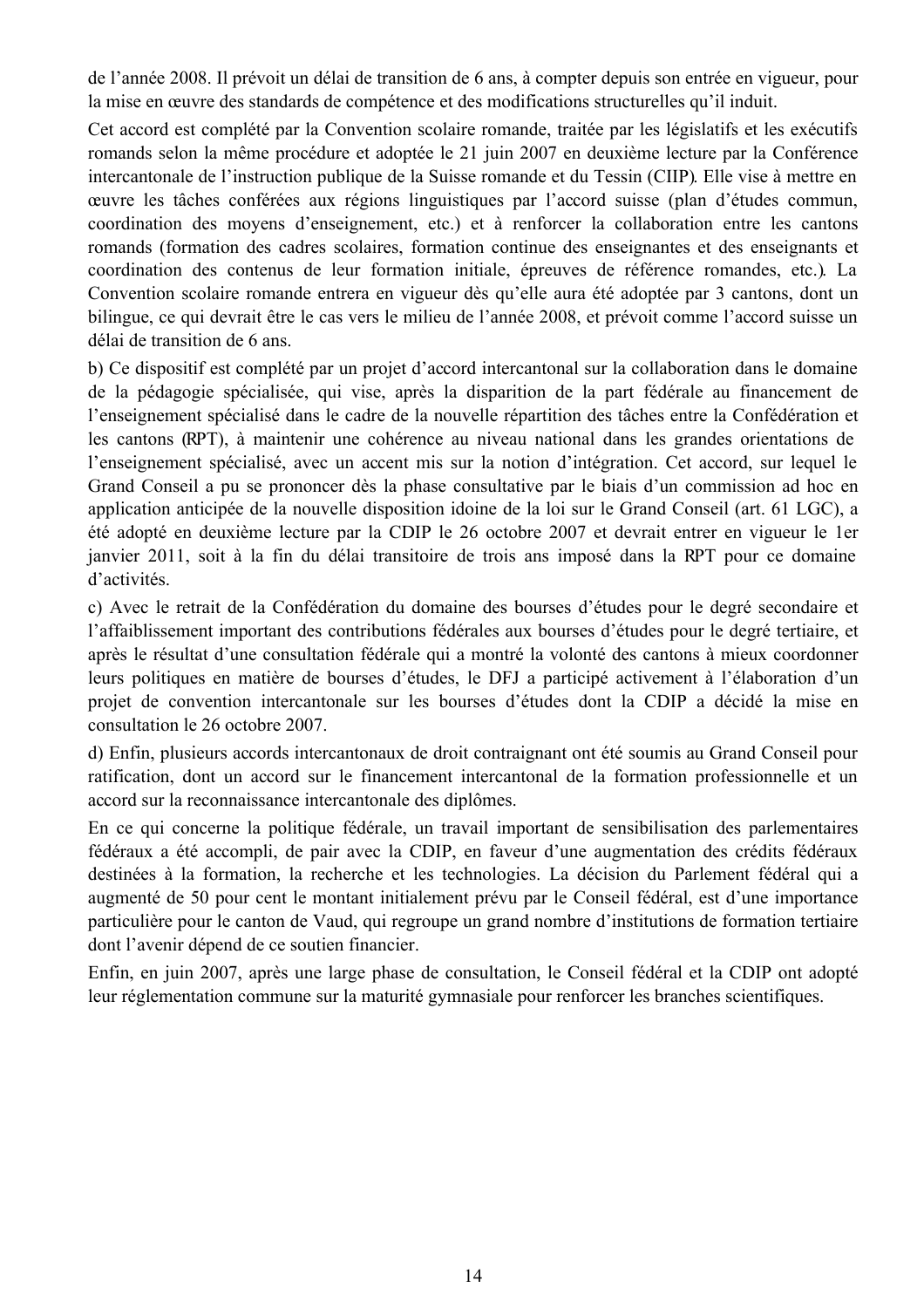de l'année 2008. Il prévoit un délai de transition de 6 ans, à compter depuis son entrée en vigueur, pour la mise en œuvre des standards de compétence et des modifications structurelles qu'il induit.

Cet accord est complété par la Convention scolaire romande, traitée par les législatifs et les exécutifs romands selon la même procédure et adoptée le 21 juin 2007 en deuxième lecture par la Conférence intercantonale de l'instruction publique de la Suisse romande et du Tessin (CIIP). Elle vise à mettre en ceuvre les tâches conférées aux régions linguistiques par l'accord suisse (plan d'études commun, coordination des moyens d'enseignement, etc.) et à renforcer la collaboration entre les cantons romands (formation des cadres scolaires, formation continue des enseignantes et des enseignants et coordination des contenus de leur formation initiale, épreuves de référence romandes, etc.). La Convention scolaire romande entrera en vigueur dès qu'elle aura été adoptée par 3 cantons, dont un bilingue, ce qui devrait être le cas vers le milieu de l'année 2008, et prévoit comme l'accord suisse un délai de transition de 6 ans.

b) Ce dispositif est complété par un projet d'accord intercantonal sur la collaboration dans le domaine de la pédagogie spécialisée, qui vise, après la disparition de la part fédérale au financement de l'enseignement spécialisé dans le cadre de la nouvelle répartition des tâches entre la Confédération et les cantons (RPT), à maintenir une cohérence au niveau national dans les grandes orientations de l'enseignement spécialisé, avec un accent mis sur la notion d'intégration. Cet accord, sur lequel le Grand Conseil a pu se prononcer dès la phase consultative par le biais d'un commission ad hoc en application anticipée de la nouvelle disposition idoine de la loi sur le Grand Conseil (art. 61 LGC), a été adopté en deuxième lecture par la CDIP le 26 octobre 2007 et devrait entrer en vigueur le 1er janvier 2011, soit à la fin du délai transitoire de trois ans imposé dans la RPT pour ce domaine d'activités.

c) Avec le retrait de la Confédération du domaine des bourses d'études pour le degré secondaire et l'affaiblissement important des contributions fédérales aux bourses d'études pour le degré tertiaire, et après le résultat d'une consultation fédérale qui a montré la volonté des cantons à mieux coordonner leurs politiques en matière de bourses d'études, le DFJ a participé activement à l'élaboration d'un projet de convention intercantonale sur les bourses d'études dont la CDIP a décidé la mise en consultation le 26 octobre 2007

d) Enfin, plusieurs accords intercantonaux de droit contraignant ont été soumis au Grand Conseil pour ratification, dont un accord sur le financement intercantonal de la formation professionnelle et un accord sur la reconnaissance intercantonale des diplômes.

En ce qui concerne la politique fédérale, un travail important de sensibilisation des parlementaires fédéraux a été accompli, de pair avec la CDIP, en faveur d'une augmentation des crédits fédéraux destinées à la formation, la recherche et les technologies. La décision du Parlement fédéral qui a augmenté de 50 pour cent le montant initialement prévu par le Conseil fédéral, est d'une importance particulière pour le canton de Vaud, qui regroupe un grand nombre d'institutions de formation tertiaire dont l'avenir dépend de ce soutien financier.

Enfin, en juin 2007, après une large phase de consultation, le Conseil fédéral et la CDIP ont adopté leur réglementation commune sur la maturité gymnasiale pour renforcer les branches scientifiques.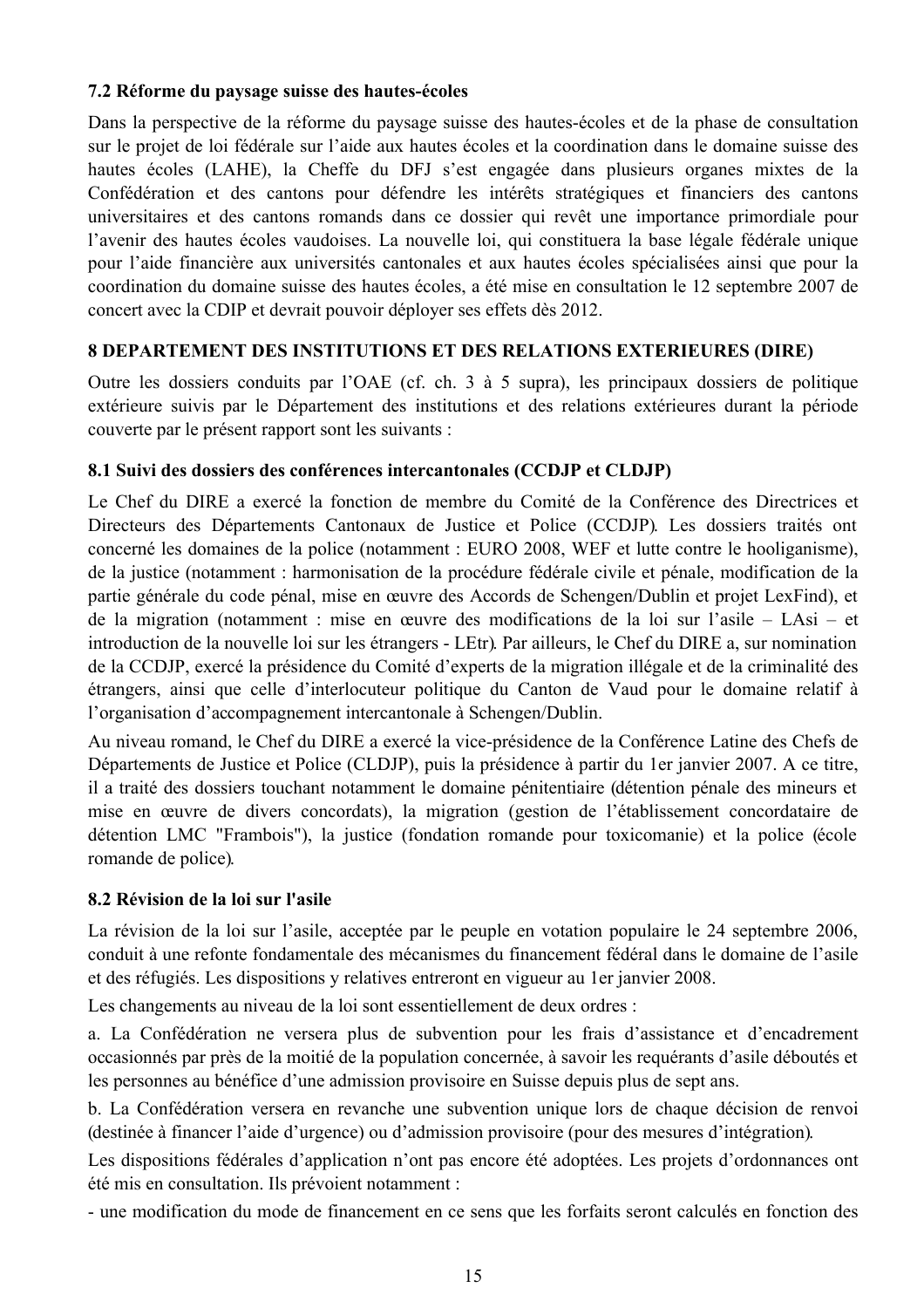## 7.2 Réforme du paysage suisse des hautes-écoles

Dans la perspective de la réforme du paysage suisse des hautes-écoles et de la phase de consultation sur le projet de loi fédérale sur l'aide aux hautes écoles et la coordination dans le domaine suisse des hautes écoles (LAHE), la Cheffe du DFJ s'est engagée dans plusieurs organes mixtes de la Confédération et des cantons pour défendre les intérêts stratégiques et financiers des cantons universitaires et des cantons romands dans ce dossier qui revêt une importance primordiale pour l'avenir des hautes écoles vaudoises. La nouvelle loi, qui constituera la base légale fédérale unique pour l'aide financière aux universités cantonales et aux hautes écoles spécialisées ainsi que pour la coordination du domaine suisse des hautes écoles, a été mise en consultation le 12 septembre 2007 de concert avec la CDIP et devrait pouvoir déployer ses effets dès 2012.

## 8 DEPARTEMENT DES INSTITUTIONS ET DES RELATIONS EXTERIEURES (DIRE)

Outre les dossiers conduits par l'OAE (cf. ch. 3 à 5 supra), les principaux dossiers de politique extérieure suivis par le Département des institutions et des relations extérieures durant la période couverte par le présent rapport sont les suivants :

## 8.1 Suivi des dossiers des conférences intercantonales (CCDJP et CLDJP)

Le Chef du DIRE a exercé la fonction de membre du Comité de la Conférence des Directrices et Directeurs des Départements Cantonaux de Justice et Police (CCDJP). Les dossiers traités ont concerné les domaines de la police (notamment : EURO 2008, WEF et lutte contre le hooliganisme), de la justice (notamment : harmonisation de la procédure fédérale civile et pénale, modification de la partie générale du code pénal, mise en œuvre des Accords de Schengen/Dublin et projet LexFind), et de la migration (notamment : mise en œuvre des modifications de la loi sur l'asile – LAsi – et introduction de la nouvelle loi sur les étrangers - LEtr). Par ailleurs, le Chef du DIRE a, sur nomination de la CCDJP, exercé la présidence du Comité d'experts de la migration illégale et de la criminalité des étrangers, ainsi que celle d'interlocuteur politique du Canton de Vaud pour le domaine relatif à l'organisation d'accompagnement intercantonale à Schengen/Dublin.

Au niveau romand, le Chef du DIRE a exercé la vice-présidence de la Conférence Latine des Chefs de Départements de Justice et Police (CLDJP), puis la présidence à partir du 1er janvier 2007. A ce titre, il a traité des dossiers touchant notamment le domaine pénitentiaire (détention pénale des mineurs et mise en œuvre de divers concordats), la migration (gestion de l'établissement concordataire de détention LMC "Frambois"), la justice (fondation romande pour toxicomanie) et la police (école romande de police).

## 8.2 Révision de la loi sur l'asile

La révision de la loi sur l'asile, acceptée par le peuple en votation populaire le 24 septembre 2006, conduit à une refonte fondamentale des mécanismes du financement fédéral dans le domaine de l'asile et des réfugiés. Les dispositions y relatives entreront en vigueur au 1 er janvier 2008.

Les changements au niveau de la loi sont essentiellement de deux ordres :

a. La Confédération ne versera plus de subvention pour les frais d'assistance et d'encadrement occasionnés par près de la moitié de la population concernée, à savoir les requérants d'asile déboutés et les personnes au bénéfice d'une admission provisoire en Suisse depuis plus de sept ans.

b. La Confédération versera en revanche une subvention unique lors de chaque décision de renvoi (destinée à financer l'aide d'urgence) ou d'admission provisoire (pour des mesures d'intégration).

Les dispositions fédérales d'application n'ont pas encore été adoptées. Les projets d'ordonnances ont été mis en consultation. Ils prévoient notamment :

- une modification du mode de financement en ce sens que les forfaits seront calculés en fonction des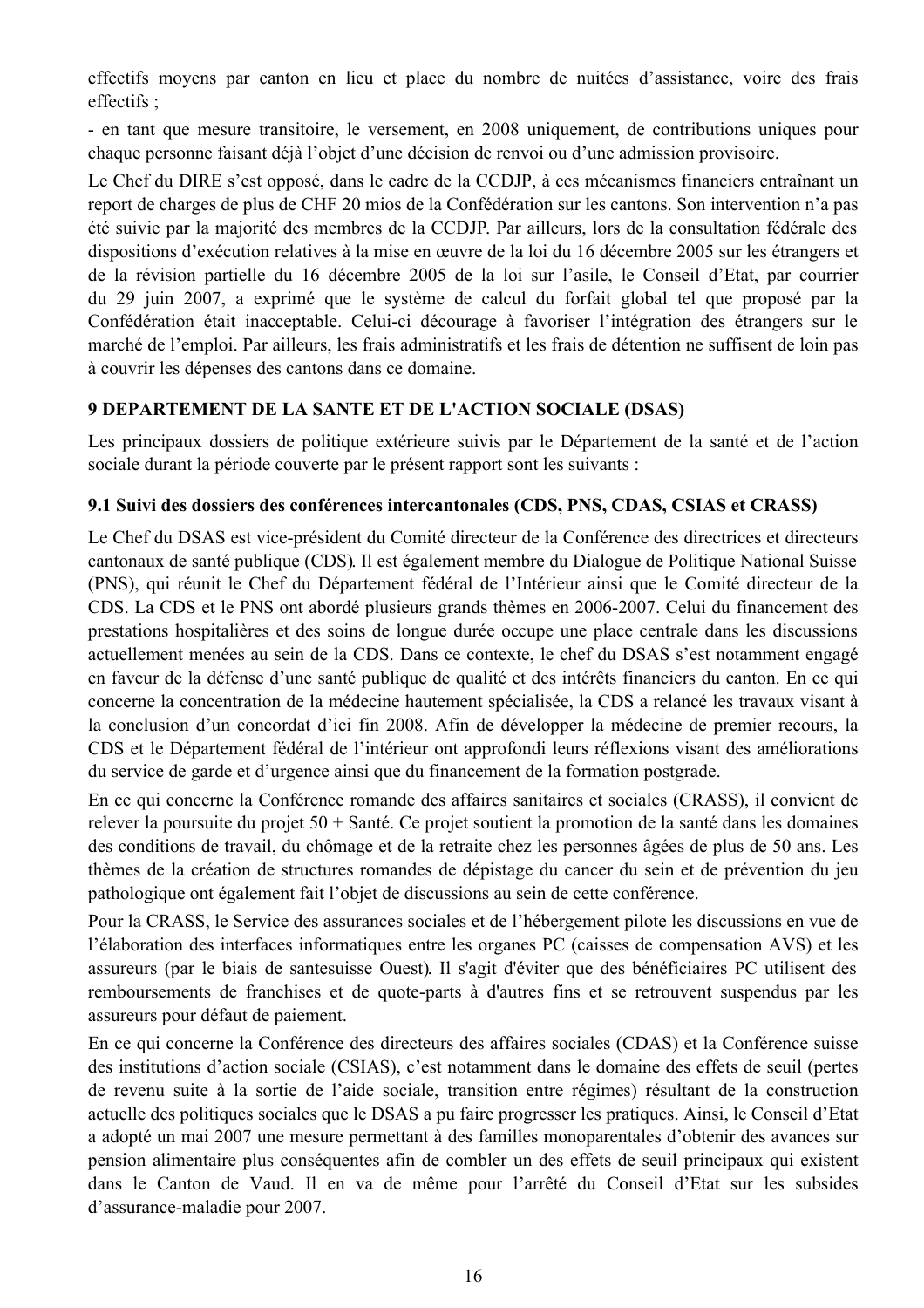effectifs movens par canton en lieu et place du nombre de nuitées d'assistance, voire des frais effectifs:

- en tant que mesure transitoire, le versement, en 2008 uniquement, de contributions uniques pour chaque personne faisant déjà l'objet d'une décision de renvoi ou d'une admission provisoire.

Le Chef du DIRE s'est opposé, dans le cadre de la CCDJP, à ces mécanismes financiers entraînant un report de charges de plus de CHF 20 mios de la Confédération sur les cantons. Son intervention n'a pas été suivie par la majorité des membres de la CCDJP. Par ailleurs, lors de la consultation fédérale des dispositions d'exécution relatives à la mise en œuvre de la loi du 16 décembre 2005 sur les étrangers et de la révision partielle du 16 décembre 2005 de la loi sur l'asile, le Conseil d'Etat, par courrier du 29 juin 2007, a exprimé que le système de calcul du forfait global tel que proposé par la Confédération était inacceptable. Celui-ci décourage à favoriser l'intégration des étrangers sur le marché de l'emploi. Par ailleurs, les frais administratifs et les frais de détention ne suffisent de loin pas à couvrir les dépenses des cantons dans ce domaine.

## 9 DEPARTEMENT DE LA SANTE ET DE L'ACTION SOCIALE (DSAS)

Les principaux dossiers de politique extérieure suivis par le Département de la santé et de l'action sociale durant la période couverte par le présent rapport sont les suivants :

## 9.1 Suivi des dossiers des conférences intercantonales (CDS, PNS, CDAS, CSIAS et CRASS)

Le Chef du DSAS est vice-président du Comité directeur de la Conférence des directrices et directeurs cantonaux de santé publique (CDS). Il est également membre du Dialogue de Politique National Suisse (PNS), qui réunit le Chef du Département fédéral de l'Intérieur ainsi que le Comité directeur de la CDS. La CDS et le PNS ont abordé plusieurs grands thèmes en 2006-2007. Celui du financement des prestations hospitalières et des soins de longue durée occupe une place centrale dans les discussions actuellement menées au sein de la CDS. Dans ce contexte, le chef du DSAS s'est notamment engagé en faveur de la défense d'une santé publique de qualité et des intérêts financiers du canton. En ce qui concerne la concentration de la médecine hautement spécialisée, la CDS a relancé les travaux visant à la conclusion d'un concordat d'ici fin 2008. Afin de développer la médecine de premier recours, la CDS et le Département fédéral de l'intérieur ont approfondi leurs réflexions visant des améliorations du service de garde et d'urgence ainsi que du financement de la formation postgrade.

En ce qui concerne la Conférence romande des affaires sanitaires et sociales (CRASS), il convient de relever la poursuite du projet  $50 + S$ anté. Ce projet soutient la promotion de la santé dans les domaines des conditions de travail, du chômage et de la retraite chez les personnes âgées de plus de 50 ans. Les thèmes de la création de structures romandes de dépistage du cancer du sein et de prévention du jeu pathologique ont également fait l'obiet de discussions au sein de cette conférence.

Pour la CRASS, le Service des assurances sociales et de l'hébergement pilote les discussions en vue de l'élaboration des interfaces informatiques entre les organes PC (caisses de compensation AVS) et les assureurs (par le biais de santesuisse Ouest). Il s'agit d'éviter que des bénéficiaires PC utilisent des remboursements de franchises et de quote-parts à d'autres fins et se retrouvent suspendus par les assureurs pour défaut de paiement.

En ce qui concerne la Conférence des directeurs des affaires sociales (CDAS) et la Conférence suisse des institutions d'action sociale (CSIAS), c'est notamment dans le domaine des effets de seuil (pertes de revenu suite à la sortie de l'aide sociale, transition entre régimes) résultant de la construction actuelle des politiques sociales que le DSAS a pu faire progresser les pratiques. Ainsi, le Conseil d'Etat a adopté un mai 2007 une mesure permettant à des familles monoparentales d'obtenir des avances sur pension alimentaire plus conséquentes afin de combler un des effets de seuil principaux qui existent dans le Canton de Vaud. Il en va de même pour l'arrêté du Conseil d'Etat sur les subsides d'assurance-maladie pour 2007.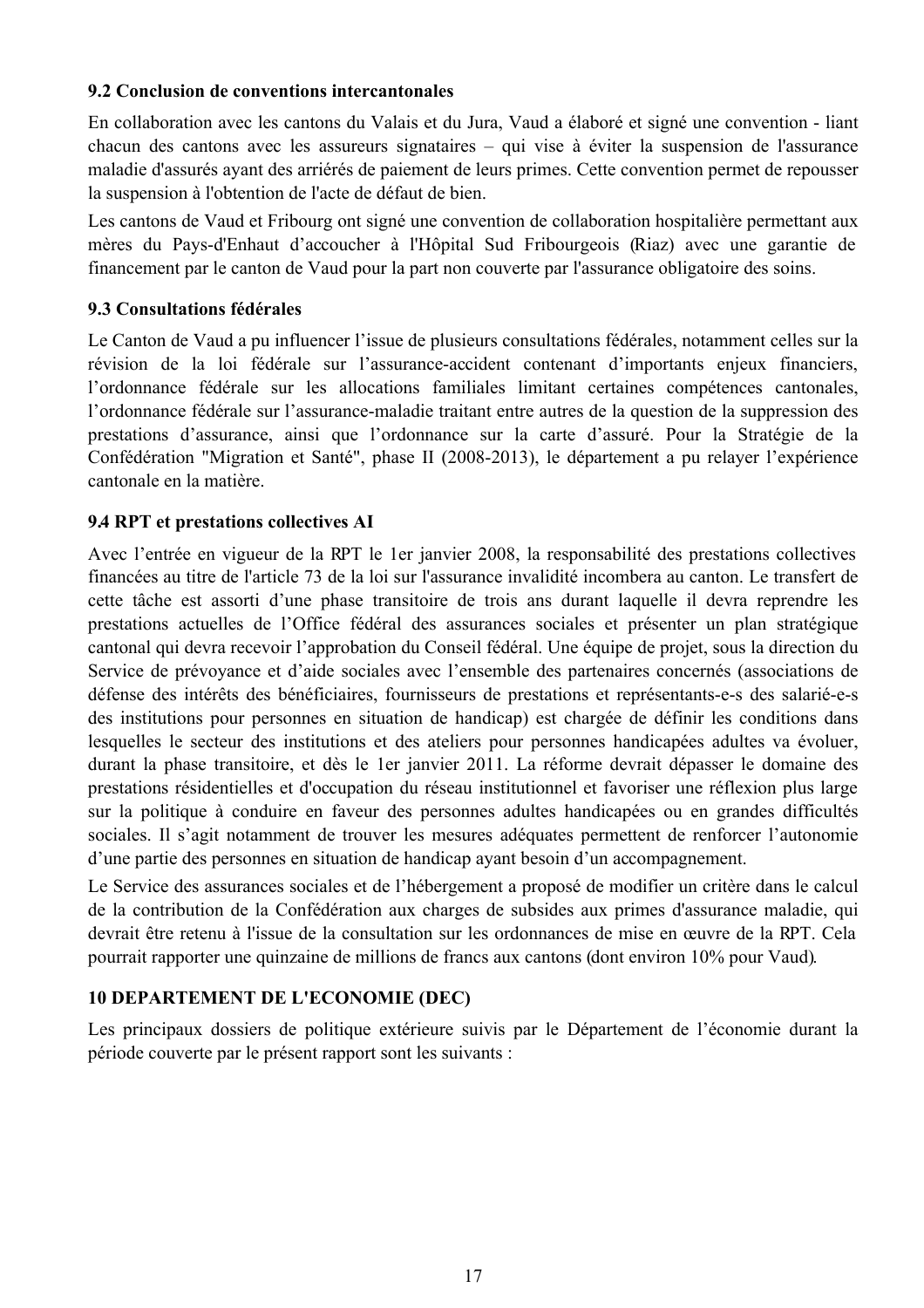## 9.2 Conclusion de conventions intercantonales

En collaboration avec les cantons du Valais et du Jura, Vaud a élaboré et signé une convention - liant chacun des cantons avec les assureurs signataires – qui vise à éviter la suspension de l'assurance maladie d'assurés avant des arriérés de paiement de leurs primes. Cette convention permet de repousser la suspension à l'obtention de l'acte de défaut de bien.

Les cantons de Vaud et Fribourg ont signé une convention de collaboration hospitalière permettant aux mères du Pays-d'Enhaut d'accoucher à l'Hôpital Sud Fribourgeois (Riaz) avec une garantie de financement par le canton de Vaud pour la part non couverte par l'assurance obligatoire des soins.

### 9.3 Consultations fédérales

Le Canton de Vaud a pu influencer l'issue de plusieurs consultations fédérales, notamment celles sur la révision de la loi fédérale sur l'assurance-accident contenant d'importants enjeux financiers, l'ordonnance fédérale sur les allocations familiales limitant certaines compétences cantonales, l'ordonnance fédérale sur l'assurance-maladie traitant entre autres de la question de la suppression des prestations d'assurance, ainsi que l'ordonnance sur la carte d'assuré. Pour la Stratégie de la Confédération "Migration et Santé", phase II (2008-2013), le département a pu relayer l'expérience cantonale en la matière

### 9.4 RPT et prestations collectives AI

Avec l'entrée en vigueur de la RPT le 1 er janvier 2008, la responsabilité des prestations collectives financées au titre de l'article 73 de la loi sur l'assurance invalidité incombera au canton. Le transfert de cette tâche est assorti d'une phase transitoire de trois ans durant laquelle il devra reprendre les prestations actuelles de l'Office fédéral des assurances sociales et présenter un plan stratégique cantonal qui devra recevoir l'approbation du Conseil fédéral. Une équipe de projet, sous la direction du Service de prévoyance et d'aide sociales avec l'ensemble des partenaires concernés (associations de défense des intérêts des bénéficiaires, fournisseurs de prestations et représentants-e-s des salarié-e-s des institutions pour personnes en situation de handicap) est chargée de définir les conditions dans lesquelles le secteur des institutions et des ateliers pour personnes handicapées adultes va évoluer, durant la phase transitoire, et dès le 1er janvier 2011. La réforme devrait dépasser le domaine des prestations résidentielles et d'occupation du réseau institutionnel et favoriser une réflexion plus large sur la politique à conduire en faveur des personnes adultes handicapées ou en grandes difficultés sociales. Il s'agit notamment de trouver les mesures adéquates permettent de renforcer l'autonomie d'une partie des personnes en situation de handicap avant besoin d'un accompagnement.

Le Service des assurances sociales et de l'hébergement a proposé de modifier un critère dans le calcul de la contribution de la Confédération aux charges de subsides aux primes d'assurance maladie, qui devrait être retenu à l'issue de la consultation sur les ordonnances de mise en œuvre de la RPT. Cela pourrait rapporter une quinzaine de millions de francs aux cantons (dont environ 10% pour Vaud).

## **10 DEPARTEMENT DE L'ECONOMIE (DEC)**

Les principaux dossiers de politique extérieure suivis par le Département de l'économie durant la période couverte par le présent rapport sont les suivants :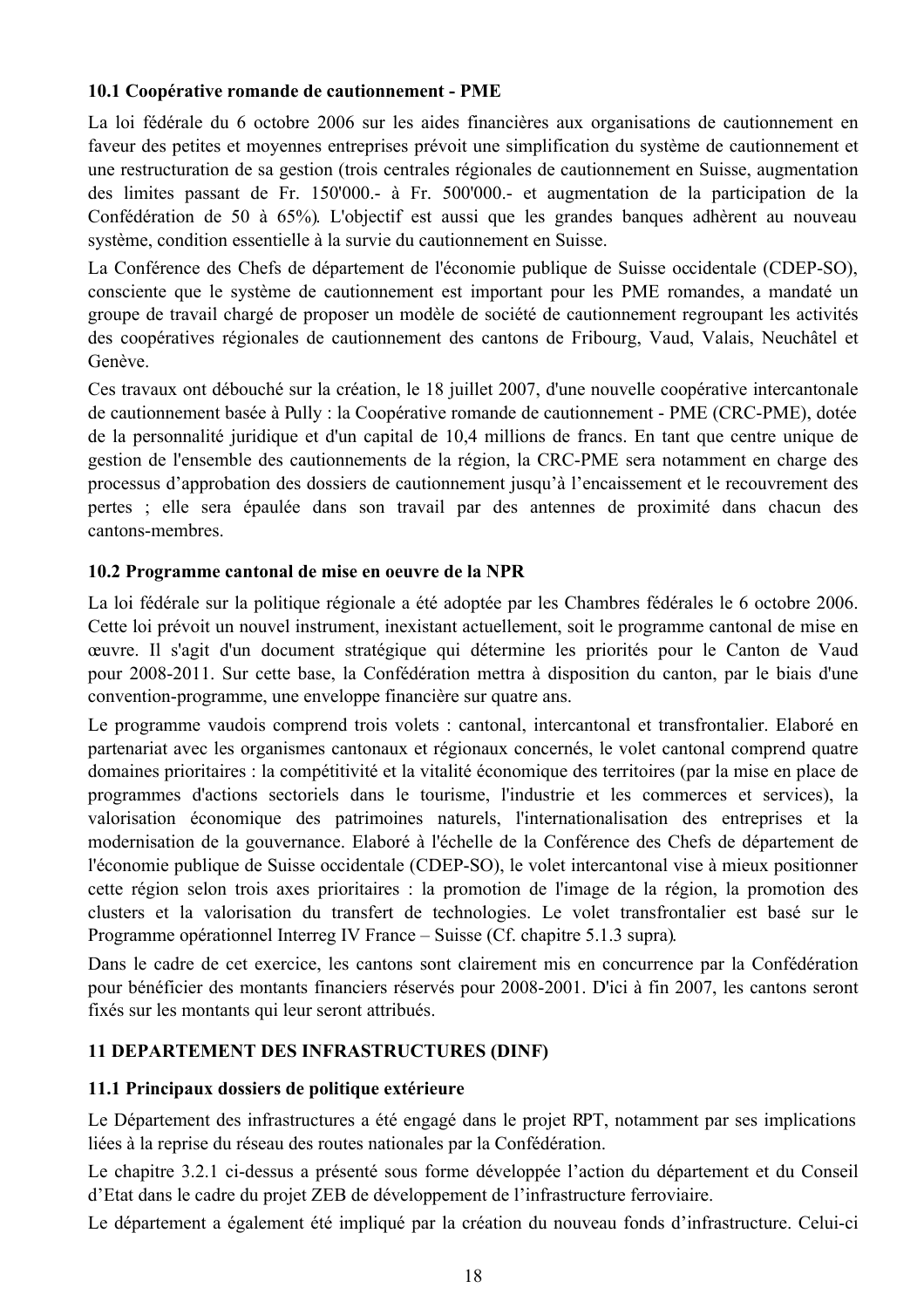## 10.1 Coopérative romande de cautionnement - PME

La loi fédérale du 6 octobre 2006 sur les aides financières aux organisations de cautionnement en faveur des petites et moyennes entreprises prévoit une simplification du système de cautionnement et une restructuration de sa gestion (trois centrales régionales de cautionnement en Suisse, augmentation des limites passant de Fr. 150'000.- à Fr. 500'000.- et augmentation de la participation de la Confédération de 50 à 65%). L'objectif est aussi que les grandes banques adhèrent au nouveau système, condition essentielle à la survie du cautionnement en Suisse.

La Conférence des Chefs de département de l'économie publique de Suisse occidentale (CDEP-SO). consciente que le système de cautionnement est important pour les PME romandes, a mandaté un groupe de travail chargé de proposer un modèle de société de cautionnement regroupant les activités des coopératives régionales de cautionnement des cantons de Fribourg, Vaud, Valais, Neuchâtel et Genève.

Ces travaux ont débouché sur la création, le 18 juillet 2007, d'une nouvelle coopérative intercantonale de cautionnement basée à Pully : la Coopérative romande de cautionnement - PME (CRC-PME), dotée de la personnalité juridique et d'un capital de 10,4 millions de francs. En tant que centre unique de gestion de l'ensemble des cautionnements de la région, la CRC-PME sera notamment en charge des processus d'approbation des dossiers de cautionnement jusqu'à l'encaissement et le recouvrement des pertes ; elle sera épaulée dans son travail par des antennes de proximité dans chacun des cantons-membres.

## 10.2 Programme cantonal de mise en oeuvre de la NPR

La loi fédérale sur la politique régionale a été adoptée par les Chambres fédérales le 6 octobre 2006. Cette loi prévoit un nouvel instrument, inexistant actuellement, soit le programme cantonal de mise en œuvre. Il s'agit d'un document stratégique qui détermine les priorités pour le Canton de Vaud pour 2008-2011. Sur cette base, la Confédération mettra à disposition du canton, par le biais d'une convention-programme, une enveloppe financière sur quatre ans.

Le programme vaudois comprend trois volets : cantonal, intercantonal et transfrontalier. Elaboré en partenariat avec les organismes cantonaux et régionaux concernés, le volet cantonal comprend quatre domaines prioritaires : la compétitivité et la vitalité économique des territoires (par la mise en place de programmes d'actions sectoriels dans le tourisme, l'industrie et les commerces et services), la valorisation économique des patrimoines naturels, l'internationalisation des entreprises et la modernisation de la gouvernance. Elaboré à l'échelle de la Conférence des Chefs de département de l'économie publique de Suisse occidentale (CDEP-SO), le volet intercantonal vise à mieux positionner cette région selon trois axes prioritaires : la promotion de l'image de la région, la promotion des clusters et la valorisation du transfert de technologies. Le volet transfrontalier est basé sur le Programme opérationnel Interreg IV France – Suisse (Cf. chapitre 5.1.3 supra).

Dans le cadre de cet exercice, les cantons sont clairement mis en concurrence par la Confédération pour bénéficier des montants financiers réservés pour 2008-2001. D'ici à fin 2007, les cantons seront fixés sur les montants qui leur seront attribués.

## **11 DEPARTEMENT DES INFRASTRUCTURES (DINF)**

## 11.1 Principaux dossiers de politique extérieure

Le Département des infrastructures a été engagé dans le projet RPT, notamment par ses implications liées à la reprise du réseau des routes nationales par la Confédération.

Le chapitre 3.2.1 ci-dessus a présenté sous forme développée l'action du département et du Conseil d'Etat dans le cadre du projet ZEB de développement de l'infrastructure ferroviaire.

Le département a également été impliqué par la création du nouveau fonds d'infrastructure. Celui-ci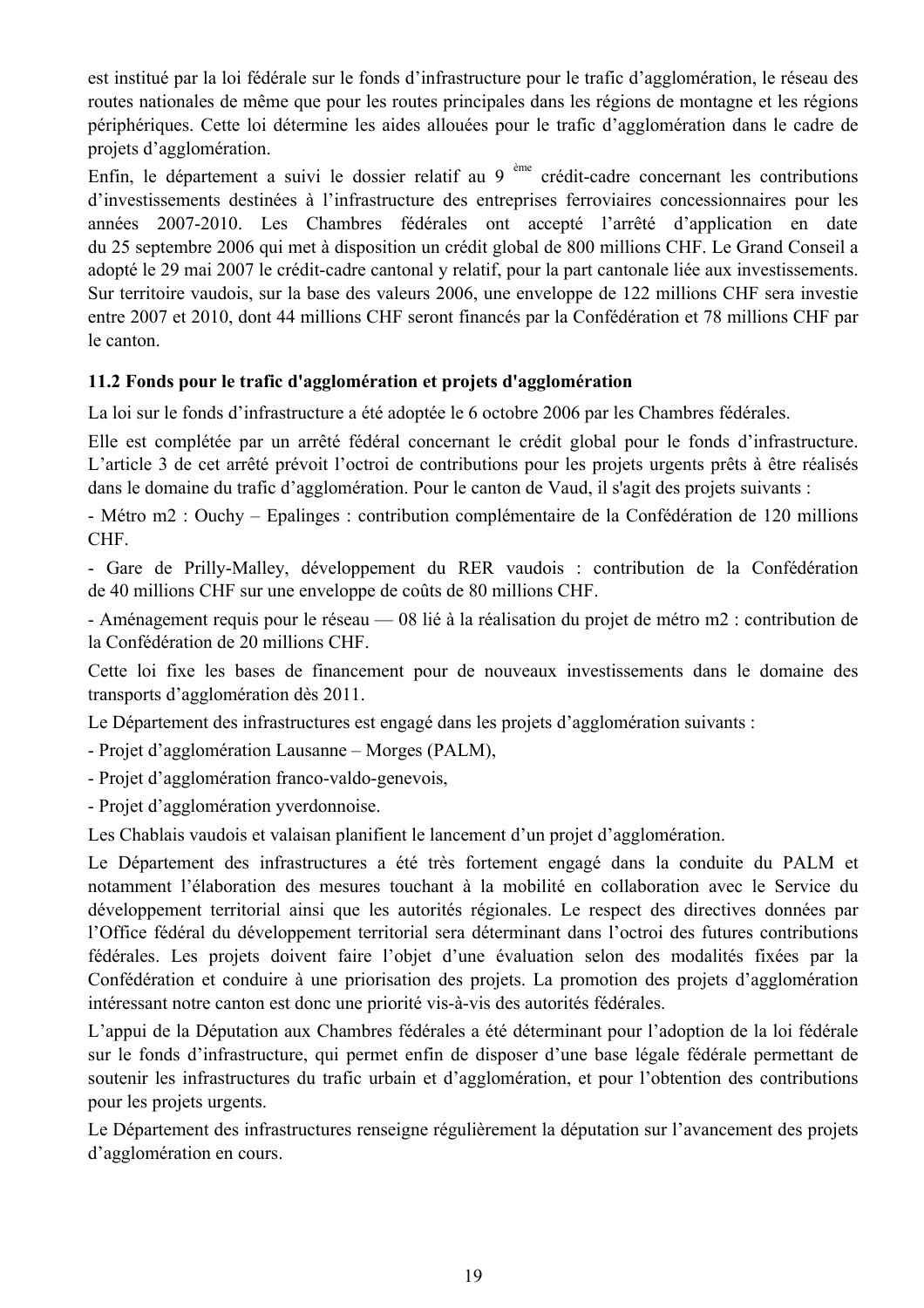est institué par la loi fédérale sur le fonds d'infrastructure pour le trafic d'agglomération, le réseau des routes nationales de même que pour les routes principales dans les régions de montagne et les régions périphériques. Cette loi détermine les aides allouées pour le trafic d'agglomération dans le cadre de projets d'agglomération.

Enfin, le département a suivi le dossier relatif au 9<sup>ème</sup> crédit-cadre concernant les contributions d'investissements destinées à l'infrastructure des entreprises ferroviaires concessionnaires pour les années 2007-2010. Les Chambres fédérales ont accepté l'arrêté d'application en date du 25 septembre 2006 qui met à disposition un crédit global de 800 millions CHF. Le Grand Conseil a adopté le 29 mai 2007 le crédit-cadre cantonal y relatif, pour la part cantonale liée aux investissements. Sur territoire vaudois, sur la base des valeurs 2006, une enveloppe de 122 millions CHF sera investie entre 2007 et 2010, dont 44 millions CHF seront financés par la Confédération et 78 millions CHF par le canton

## 11.2 Fonds pour le trafic d'agglomération et projets d'agglomération

La loi sur le fonds d'infrastructure a été adoptée le 6 octobre 2006 par les Chambres fédérales.

Elle est complétée par un arrêté fédéral concernant le crédit global pour le fonds d'infrastructure. L'article 3 de cet arrêté prévoit l'octroi de contributions pour les projets urgents prêts à être réalisés dans le domaine du trafic d'agglomération. Pour le canton de Vaud, il s'agit des projets suivants :

- Métro m2 : Ouchy – Epalinges : contribution complémentaire de la Confédération de 120 millions CHF.

- Gare de Prilly-Malley, développement du RER vaudois : contribution de la Confédération de 40 millions CHF sur une enveloppe de coûts de 80 millions CHF.

- Aménagement requis pour le réseau — 08 lié à la réalisation du projet de métro m2 : contribution de la Confédération de 20 millions CHF.

Cette loi fixe les bases de financement pour de nouveaux investissements dans le domaine des transports d'agglomération dès 2011.

Le Département des infrastructures est engagé dans les projets d'agglomération suivants :

- Projet d'agglomération Lausanne – Morges (PALM),

- Projet d'agglomération franco-valdo-genevois,

- Projet d'agglomération yverdonnoise.

Les Chablais vaudois et valaisan planifient le lancement d'un projet d'agglomération.

Le Département des infrastructures a été très fortement engagé dans la conduite du PALM et notamment l'élaboration des mesures touchant à la mobilité en collaboration avec le Service du développement territorial ainsi que les autorités régionales. Le respect des directives données par l'Office fédéral du développement territorial sera déterminant dans l'octroi des futures contributions fédérales. Les projets doivent faire l'objet d'une évaluation selon des modalités fixées par la Confédération et conduire à une priorisation des projets. La promotion des projets d'agglomération intéressant notre canton est donc une priorité vis-à-vis des autorités fédérales.

L'appui de la Députation aux Chambres fédérales a été déterminant pour l'adoption de la loi fédérale sur le fonds d'infrastructure, qui permet enfin de disposer d'une base légale fédérale permettant de soutenir les infrastructures du trafic urbain et d'agglomération, et pour l'obtention des contributions pour les projets urgents.

Le Département des infrastructures renseigne régulièrement la députation sur l'avancement des projets d'agglomération en cours.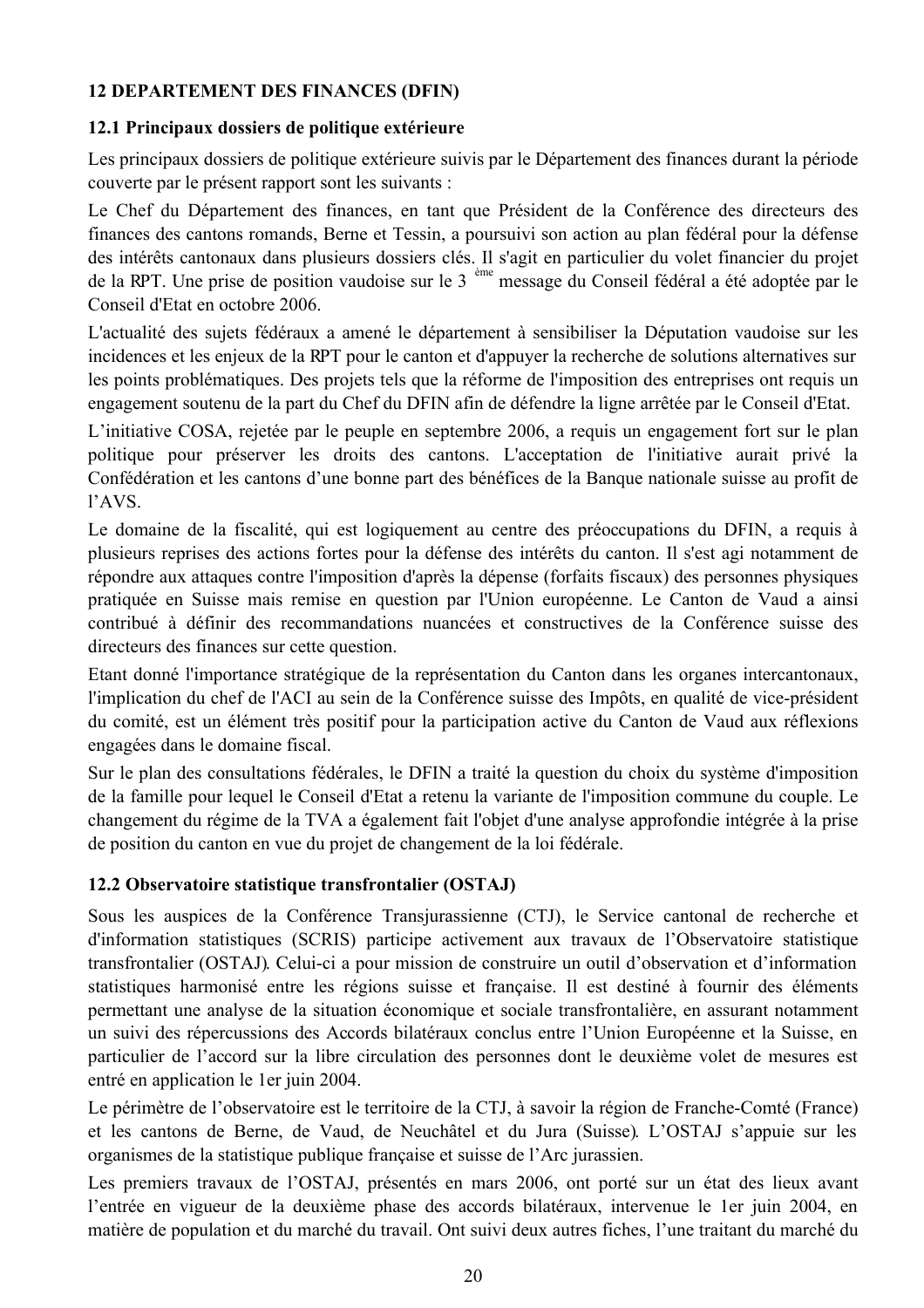## **12 DEPARTEMENT DES FINANCES (DFIN)**

## 12.1 Principaux dossiers de politique extérieure

Les principaux dossiers de politique extérieure suivis par le Département des finances durant la période couverte par le présent rapport sont les suivants :

Le Chef du Département des finances, en tant que Président de la Conférence des directeurs des finances des cantons romands, Berne et Tessin, a poursuivi son action au plan fédéral pour la défense des intérêts cantonaux dans plusieurs dossiers clés. Il s'agit en particulier du volet financier du projet de la RPT. Une prise de position vaudoise sur le 3<sup>ème</sup> message du Conseil fédéral a été adoptée par le Conseil d'Etat en octobre 2006.

L'actualité des sujets fédéraux a amené le département à sensibiliser la Députation vaudoise sur les incidences et les enjeux de la RPT pour le canton et d'appuyer la recherche de solutions alternatives sur les points problématiques. Des projets tels que la réforme de l'imposition des entreprises ont requis un engagement soutenu de la part du Chef du DFIN afin de défendre la ligne arrêtée par le Conseil d'Etat.

L'initiative COSA, rejetée par le peuple en septembre 2006, a requis un engagement fort sur le plan politique pour préserver les droits des cantons. L'acceptation de l'initiative aurait privé la Confédération et les cantons d'une bonne part des bénéfices de la Banque nationale suisse au profit de l'AVS.

Le domaine de la fiscalité, qui est logiquement au centre des préoccupations du DFIN, a requis à plusieurs reprises des actions fortes pour la défense des intérêts du canton. Il s'est agi notamment de répondre aux attaques contre l'imposition d'après la dépense (forfaits fiscaux) des personnes physiques pratiquée en Suisse mais remise en question par l'Union européenne. Le Canton de Vaud a ainsi contribué à définir des recommandations nuancées et constructives de la Conférence suisse des directeurs des finances sur cette question

Etant donné l'importance stratégique de la représentation du Canton dans les organes intercantonaux, l'implication du chef de l'ACI au sein de la Conférence suisse des Impôts, en qualité de vice-président du comité, est un élément très positif pour la participation active du Canton de Vaud aux réflexions engagées dans le domaine fiscal.

Sur le plan des consultations fédérales, le DFIN a traité la question du choix du système d'imposition de la famille pour lequel le Conseil d'Etat a retenu la variante de l'imposition commune du couple. Le changement du régime de la TVA a également fait l'objet d'une analyse approfondie intégrée à la prise de position du canton en vue du projet de changement de la loi fédérale.

## 12.2 Observatoire statistique transfrontalier (OSTAJ)

Sous les auspices de la Conférence Transjurassienne (CTJ), le Service cantonal de recherche et d'information statistiques (SCRIS) participe activement aux travaux de l'Observatoire statistique transfrontalier (OSTAJ). Celui-ci a pour mission de construire un outil d'observation et d'information statistiques harmonisé entre les régions suisse et française. Il est destiné à fournir des éléments permettant une analyse de la situation économique et sociale transfrontalière, en assurant notamment un suivi des répercussions des Accords bilatéraux conclus entre l'Union Européenne et la Suisse, en particulier de l'accord sur la libre circulation des personnes dont le deuxième volet de mesures est entré en application le 1 er juin 2004.

Le périmètre de l'observatoire est le territoire de la CTJ, à savoir la région de Franche-Comté (France) et les cantons de Berne, de Vaud, de Neuchâtel et du Jura (Suisse). L'OSTAJ s'appuie sur les organismes de la statistique publique française et suisse de l'Arc jurassien.

Les premiers travaux de l'OSTAJ, présentés en mars 2006, ont porté sur un état des lieux avant l'entrée en vigueur de la deuxième phase des accords bilatéraux, intervenue le 1er juin 2004, en matière de population et du marché du travail. Ont suivi deux autres fiches, l'une traitant du marché du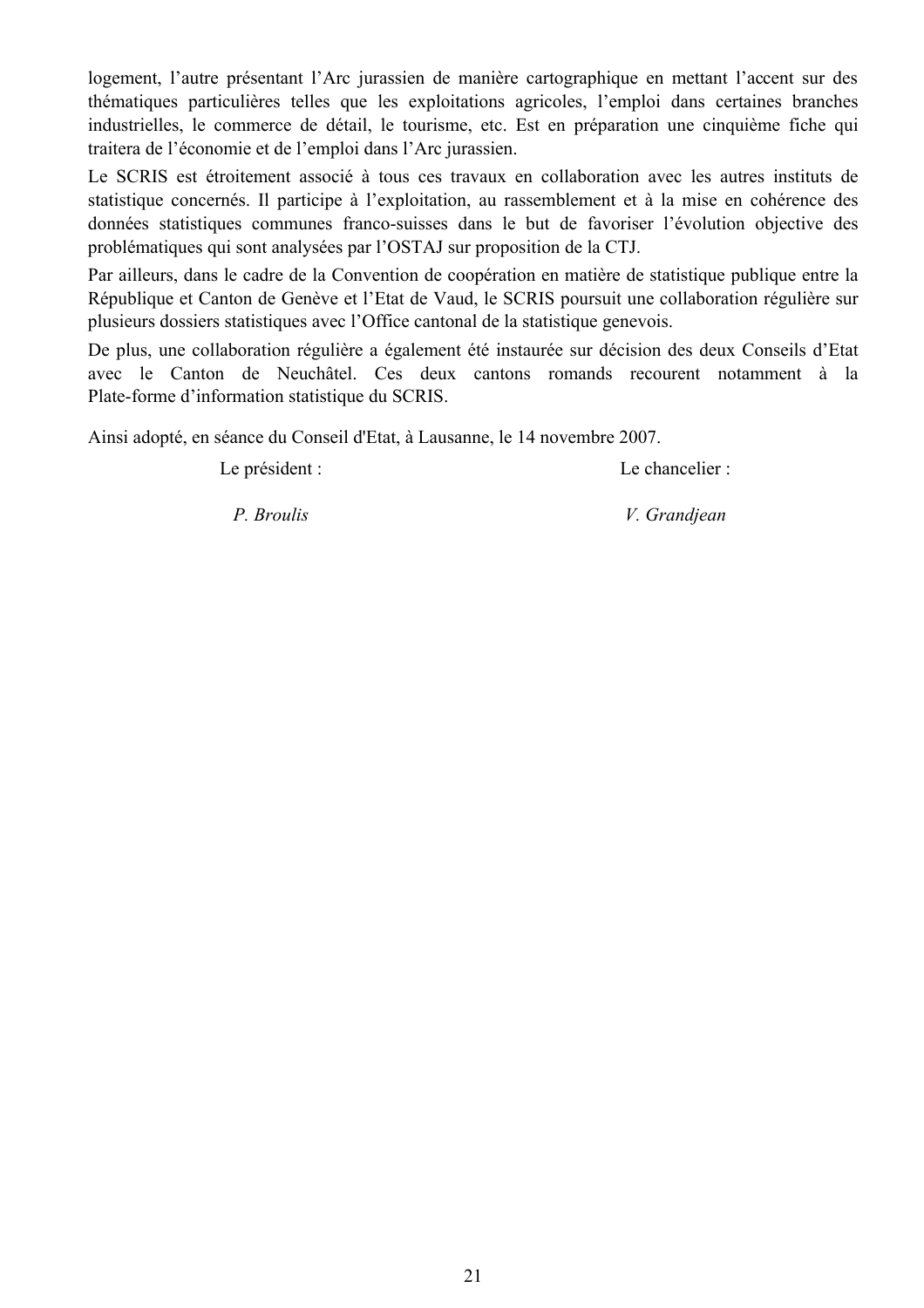logement. l'autre présentant l'Arc jurassien de manière cartographique en mettant l'accent sur des thématiques particulières telles que les exploitations agricoles, l'emploi dans certaines branches industrielles, le commerce de détail, le tourisme, etc. Est en préparation une cinquième fiche qui traitera de l'économie et de l'emploi dans l'Arc jurassien.

Le SCRIS est étroitement associé à tous ces travaux en collaboration avec les autres instituts de statistique concernés. Il participe à l'exploitation, au rassemblement et à la mise en cohérence des données statistiques communes franco-suisses dans le but de favoriser l'évolution objective des problématiques qui sont analysées par l'OSTAJ sur proposition de la CTJ.

Par ailleurs, dans le cadre de la Convention de coopération en matière de statistique publique entre la République et Canton de Genève et l'Etat de Vaud, le SCRIS poursuit une collaboration régulière sur plusieurs dossiers statistiques avec l'Office cantonal de la statistique genevois.

De plus, une collaboration régulière a également été instaurée sur décision des deux Conseils d'Etat avec le Canton de Neuchâtel. Ces deux cantons romands recourent notamment à la Plate-forme d'information statistique du SCRIS.

Ainsi adopté, en séance du Conseil d'Etat, à Lausanne, le 14 novembre 2007.

Le président :

Le chancelier :

P. Broulis

V. Grandjean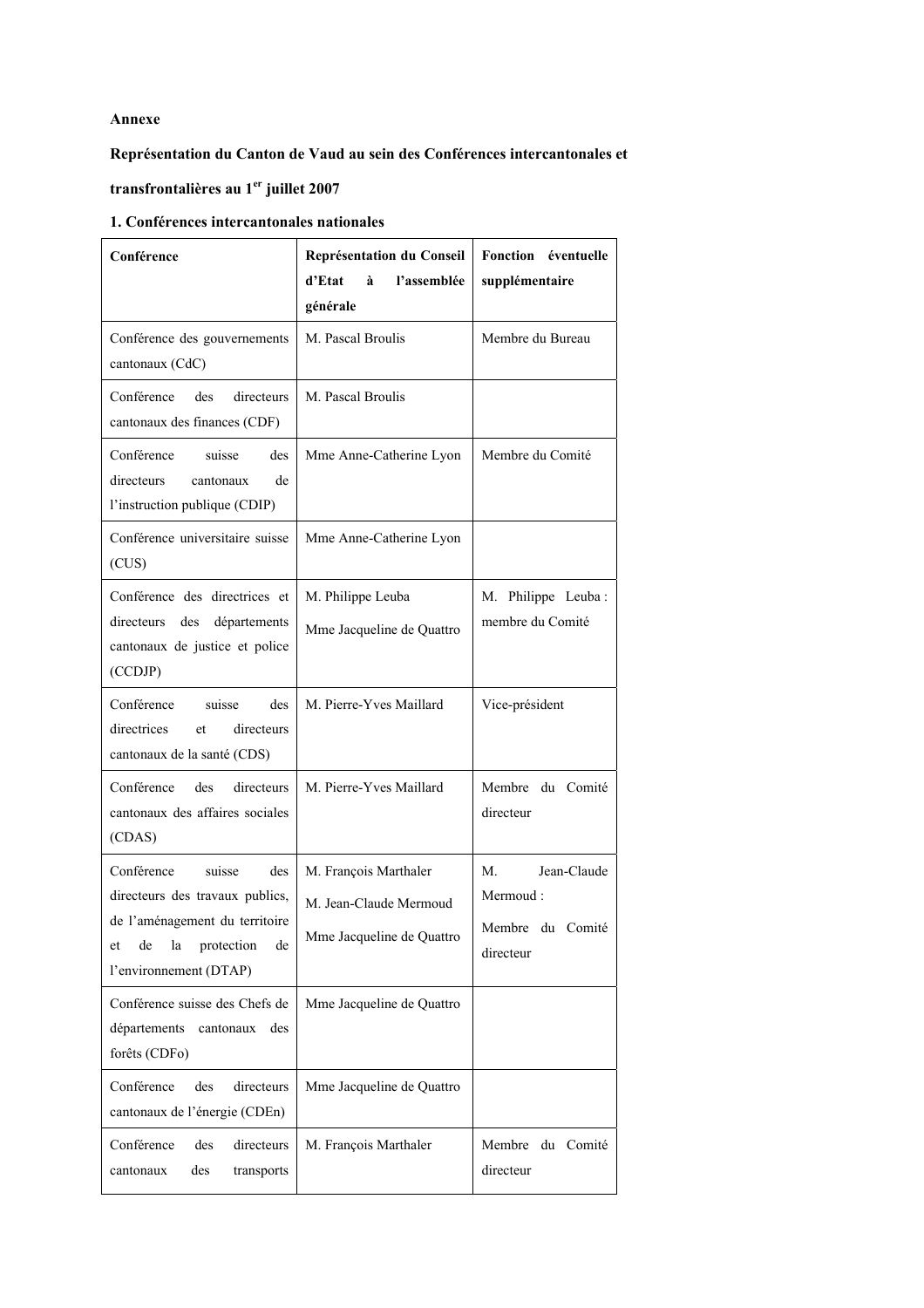#### **Annexe**

#### **Représentation du Canton de Vaud au sein des Conférences intercantonales et**

## **transfrontalières au 1er juillet 2007**

#### **1. Conférences intercantonales nationales**

| Conférence                                                                                                                                                       | Représentation du Conseil<br>l'assemblée<br>d'Etat<br>à<br>générale          | Fonction éventuelle<br>supplémentaire                          |
|------------------------------------------------------------------------------------------------------------------------------------------------------------------|------------------------------------------------------------------------------|----------------------------------------------------------------|
| Conférence des gouvernements<br>cantonaux (CdC)                                                                                                                  | M. Pascal Broulis                                                            | Membre du Bureau                                               |
| Conférence<br>des<br>directeurs<br>cantonaux des finances (CDF)                                                                                                  | M. Pascal Broulis                                                            |                                                                |
| Conférence<br>suisse<br>des<br>directeurs<br>de<br>cantonaux<br>l'instruction publique (CDIP)                                                                    | Mme Anne-Catherine Lyon                                                      | Membre du Comité                                               |
| Conférence universitaire suisse<br>(CUS)                                                                                                                         | Mme Anne-Catherine Lyon                                                      |                                                                |
| Conférence des directrices et<br>départements<br>directeurs des<br>cantonaux de justice et police<br>(CCDJP)                                                     | M. Philippe Leuba<br>Mme Jacqueline de Quattro                               | M. Philippe Leuba:<br>membre du Comité                         |
| suisse<br>Conférence<br>des<br>directrices<br>directeurs<br>et<br>cantonaux de la santé (CDS)                                                                    | M. Pierre-Yves Maillard                                                      | Vice-président                                                 |
| Conférence<br>des<br>directeurs<br>cantonaux des affaires sociales<br>(CDAS)                                                                                     | M. Pierre-Yves Maillard                                                      | Membre du Comité<br>directeur                                  |
| Conférence<br>suisse<br>des<br>directeurs des travaux publics,<br>de l'aménagement du territoire<br>de<br>la<br>protection<br>de<br>et<br>l'environnement (DTAP) | M. François Marthaler<br>M. Jean-Claude Mermoud<br>Mme Jacqueline de Quattro | Jean-Claude<br>M.<br>Mermoud:<br>Membre du Comité<br>directeur |
| Conférence suisse des Chefs de<br>départements<br>cantonaux<br>des<br>forêts (CDFo)                                                                              | Mme Jacqueline de Quattro                                                    |                                                                |
| Conférence<br>des<br>directeurs<br>cantonaux de l'énergie (CDEn)                                                                                                 | Mme Jacqueline de Quattro                                                    |                                                                |
| Conférence<br>des<br>directeurs<br>des<br>cantonaux<br>transports                                                                                                | M. François Marthaler                                                        | Membre du Comité<br>directeur                                  |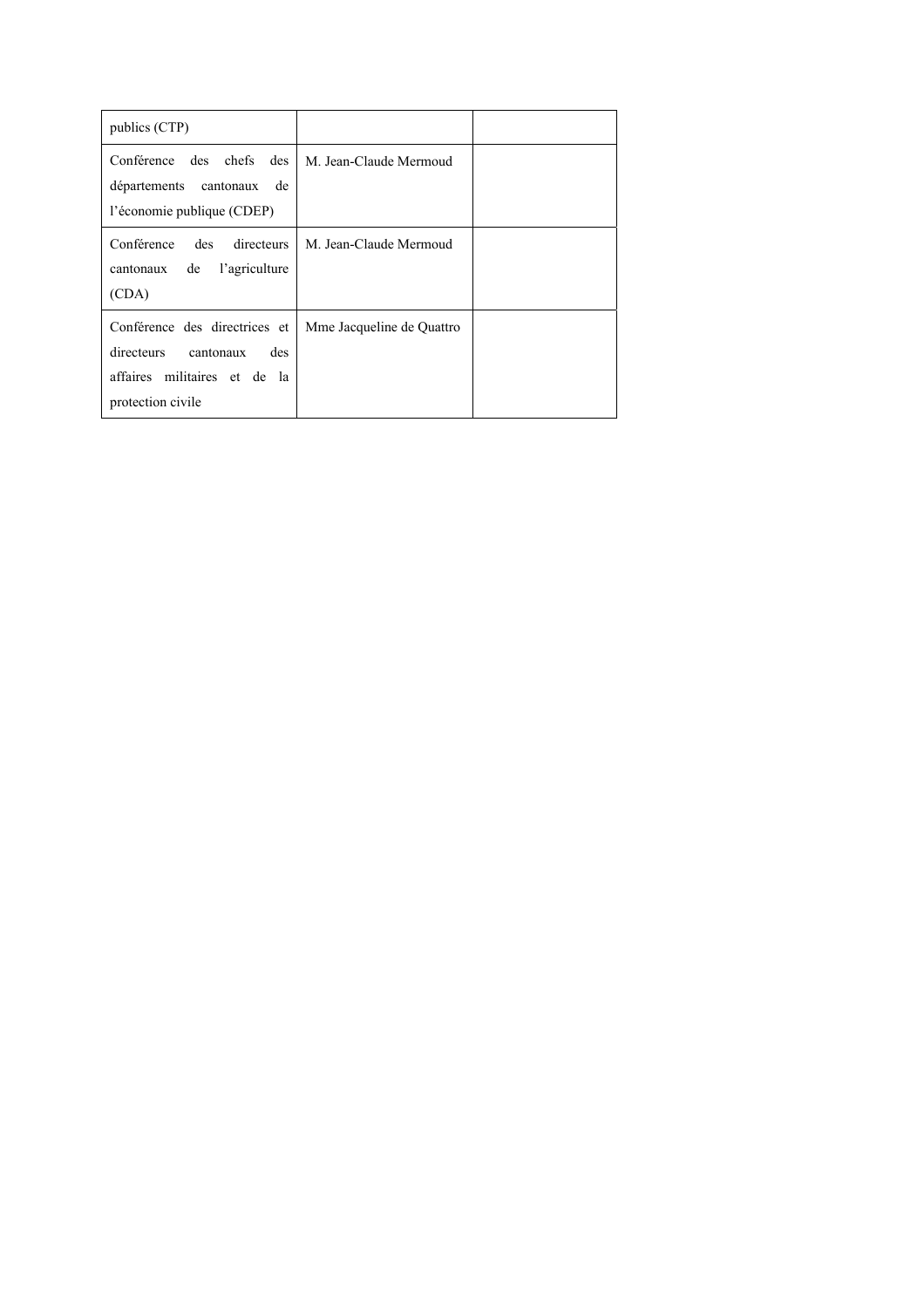| publics (CTP)                                                                                                                      |                           |  |
|------------------------------------------------------------------------------------------------------------------------------------|---------------------------|--|
| des chefs<br>Conférence<br>des<br>départements cantonaux<br>de<br>l'économie publique (CDEP)                                       | M. Jean-Claude Mermoud    |  |
| Conférence<br>des<br>directeurs<br>l'agriculture<br>de<br>cantonaux<br>(CDA)                                                       | M. Jean-Claude Mermoud    |  |
| Conférence des directrices et<br>directeurs<br>cantonaux<br>des<br>affaires militaires et de<br><sub>la</sub><br>protection civile | Mme Jacqueline de Quattro |  |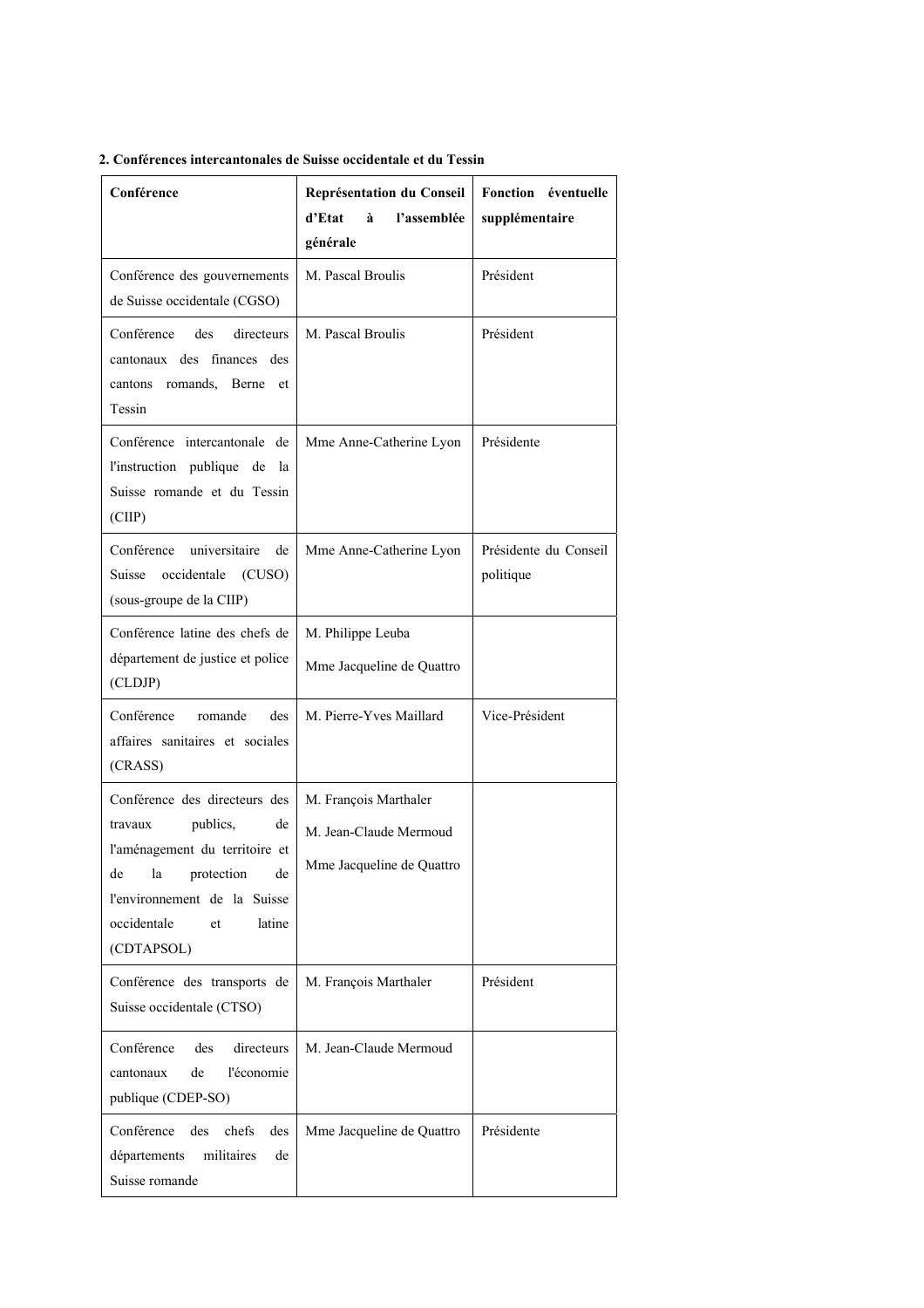| Conférence                                                                                                                                                                                                | Représentation du Conseil<br>d'Etat<br>à<br>l'assemblée<br>générale          | Fonction éventuelle<br>supplémentaire |
|-----------------------------------------------------------------------------------------------------------------------------------------------------------------------------------------------------------|------------------------------------------------------------------------------|---------------------------------------|
| Conférence des gouvernements<br>de Suisse occidentale (CGSO)                                                                                                                                              | M. Pascal Broulis                                                            | Président                             |
| Conférence<br>des<br>directeurs<br>cantonaux des finances des<br>cantons romands, Berne et<br>Tessin                                                                                                      | M. Pascal Broulis                                                            | Président                             |
| Conférence intercantonale de<br>l'instruction publique de la<br>Suisse romande et du Tessin<br>(CIIP)                                                                                                     | Mme Anne-Catherine Lyon                                                      | Présidente                            |
| Conférence universitaire<br>de<br>occidentale<br>Suisse<br>(CUSO)<br>(sous-groupe de la CIIP)                                                                                                             | Mme Anne-Catherine Lyon                                                      | Présidente du Conseil<br>politique    |
| Conférence latine des chefs de<br>département de justice et police<br>(CLDJP)                                                                                                                             | M. Philippe Leuba<br>Mme Jacqueline de Quattro                               |                                       |
| Conférence<br>romande<br>des<br>affaires sanitaires et sociales<br>(CRASS)                                                                                                                                | M. Pierre-Yves Maillard                                                      | Vice-Président                        |
| Conférence des directeurs des<br>publics,<br>de<br>travaux<br>l'aménagement du territoire et<br>protection<br>de<br>la<br>de<br>l'environnement de la Suisse<br>occidentale<br>latine<br>et<br>(CDTAPSOL) | M. François Marthaler<br>M. Jean-Claude Mermoud<br>Mme Jacqueline de Quattro |                                       |
| Conférence des transports de<br>Suisse occidentale (CTSO)                                                                                                                                                 | M. François Marthaler                                                        | Président                             |
| Conférence<br>des<br>directeurs<br>l'économie<br>de<br>cantonaux<br>publique (CDEP-SO)                                                                                                                    | M. Jean-Claude Mermoud                                                       |                                       |
| Conférence<br>des<br>chefs<br>des<br>départements<br>militaires<br>de<br>Suisse romande                                                                                                                   | Mme Jacqueline de Quattro                                                    | Présidente                            |

#### **2. Conférences intercantonales de Suisse occidentale et du Tessin**